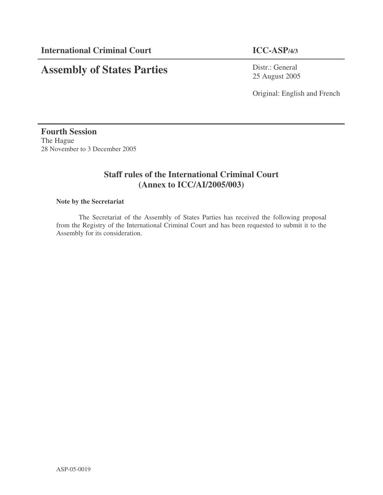# **Assembly of States Parties**

Distr.: General 25 August 2005

Original: English and French

# **Fourth Session** The Hague 28 November to 3 December 2005

# **Staff rules of the International Criminal Court (Annex to ICC/AI/2005/003)**

# **Note by the Secretariat**

The Secretariat of the Assembly of States Parties has received the following proposal from the Registry of the International Criminal Court and has been requested to submit it to the Assembly for its consideration.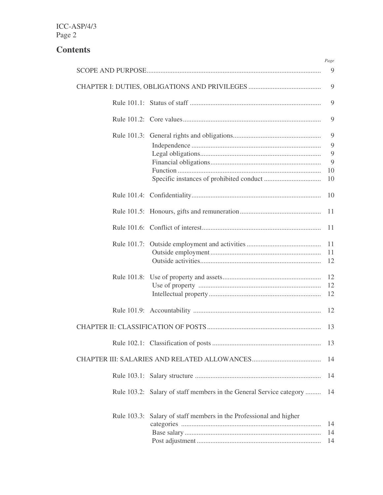# **Contents**

|                                                                     | Page           |
|---------------------------------------------------------------------|----------------|
|                                                                     | 9              |
|                                                                     | 9              |
|                                                                     | 9              |
|                                                                     | 9              |
|                                                                     | 9              |
|                                                                     | 9              |
|                                                                     | 9              |
|                                                                     | 9              |
|                                                                     | 10             |
|                                                                     | 10             |
|                                                                     | 10             |
|                                                                     | 11             |
|                                                                     | 11             |
|                                                                     | 11             |
|                                                                     | 11             |
|                                                                     | 12             |
|                                                                     | 12             |
|                                                                     | 12             |
|                                                                     | 12             |
|                                                                     | 12             |
|                                                                     | 13             |
|                                                                     | 13             |
|                                                                     | 14             |
|                                                                     | 14             |
| Rule 103.2: Salary of staff members in the General Service category | 14             |
| Rule 103.3: Salary of staff members in the Professional and higher  | 14<br>14<br>14 |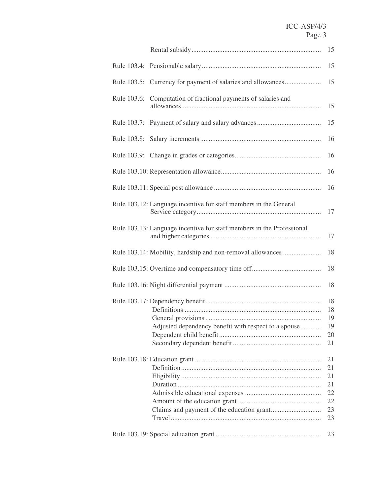|             |                                                                       | 15 |
|-------------|-----------------------------------------------------------------------|----|
|             |                                                                       | 15 |
|             | Rule 103.5: Currency for payment of salaries and allowances           | 15 |
| Rule 103.6: | Computation of fractional payments of salaries and                    | 15 |
|             |                                                                       | 15 |
|             |                                                                       | 16 |
|             |                                                                       | 16 |
|             |                                                                       | 16 |
|             |                                                                       | 16 |
|             | Rule 103.12: Language incentive for staff members in the General      | 17 |
|             | Rule 103.13: Language incentive for staff members in the Professional | 17 |
|             | Rule 103.14: Mobility, hardship and non-removal allowances            | 18 |
|             |                                                                       | 18 |
|             |                                                                       | 18 |
|             |                                                                       | 18 |
|             |                                                                       | 18 |
|             |                                                                       | 19 |
|             | Adjusted dependency benefit with respect to a spouse                  | 19 |
|             |                                                                       | 20 |
|             |                                                                       | 21 |
|             |                                                                       | 21 |
|             |                                                                       | 21 |
|             |                                                                       | 21 |
|             |                                                                       | 21 |
|             |                                                                       | 22 |
|             |                                                                       | 22 |
|             |                                                                       | 23 |
|             |                                                                       | 23 |
|             |                                                                       | 23 |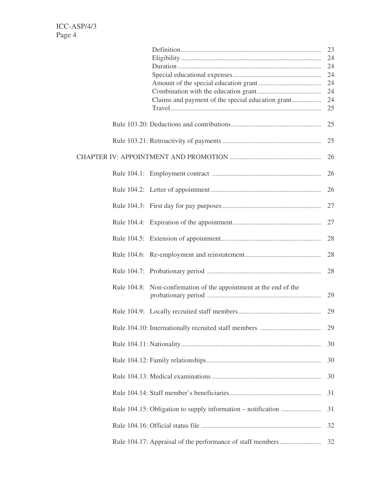|                                                                   | 23 |
|-------------------------------------------------------------------|----|
|                                                                   | 24 |
|                                                                   | 24 |
|                                                                   | 24 |
|                                                                   | 24 |
|                                                                   | 24 |
| Claims and payment of the special education grant                 | 24 |
|                                                                   | 25 |
|                                                                   | 25 |
|                                                                   | 25 |
|                                                                   | 26 |
|                                                                   | 26 |
|                                                                   | 26 |
|                                                                   | 27 |
|                                                                   | 27 |
|                                                                   | 28 |
|                                                                   | 28 |
|                                                                   | 28 |
| Rule 104.8: Non-confirmation of the appointment at the end of the | 29 |
|                                                                   | 29 |
|                                                                   | 29 |
|                                                                   | 30 |
|                                                                   | 30 |
|                                                                   | 30 |
|                                                                   | 31 |
|                                                                   | 31 |
|                                                                   | 32 |
|                                                                   | 32 |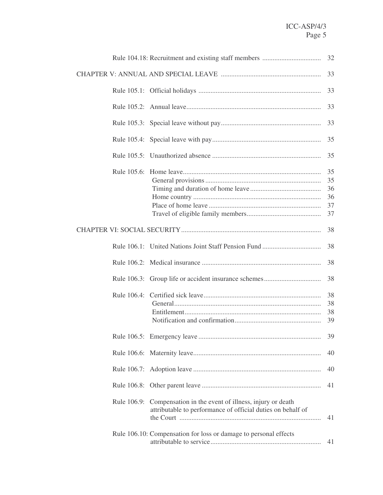|             |                                                                                                                      | 32                               |
|-------------|----------------------------------------------------------------------------------------------------------------------|----------------------------------|
|             |                                                                                                                      | 33                               |
|             |                                                                                                                      | 33                               |
|             |                                                                                                                      | 33                               |
|             |                                                                                                                      | 33                               |
|             |                                                                                                                      | 35                               |
|             |                                                                                                                      | 35                               |
|             |                                                                                                                      | 35<br>35<br>36<br>36<br>37<br>37 |
|             |                                                                                                                      | 38                               |
|             |                                                                                                                      | 38                               |
|             |                                                                                                                      | 38                               |
|             |                                                                                                                      | 38                               |
|             |                                                                                                                      | 38<br>38<br>38<br>39             |
|             |                                                                                                                      | 39                               |
|             |                                                                                                                      | 40                               |
|             |                                                                                                                      | 40                               |
|             |                                                                                                                      | 41                               |
| Rule 106.9: | Compensation in the event of illness, injury or death<br>attributable to performance of official duties on behalf of | 41                               |
|             | Rule 106.10: Compensation for loss or damage to personal effects                                                     | 41                               |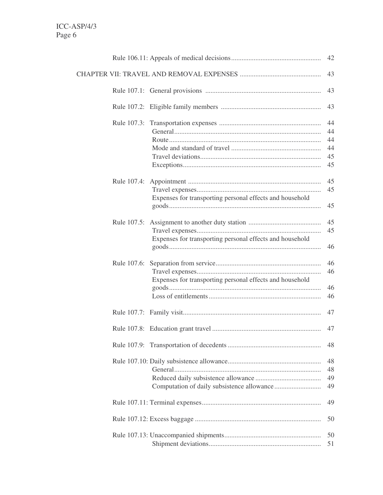|             |                                                          | 42                               |
|-------------|----------------------------------------------------------|----------------------------------|
|             |                                                          | 43                               |
|             |                                                          | 43                               |
|             |                                                          | 43                               |
|             |                                                          | 44<br>44<br>44<br>44<br>45<br>45 |
| Rule 107.4: | Expenses for transporting personal effects and household | 45<br>45<br>45                   |
| Rule 107.5: | Expenses for transporting personal effects and household | 45<br>45<br>46                   |
| Rule 107.6: | Expenses for transporting personal effects and household | 46<br>46<br>46<br>46             |
|             |                                                          | 47                               |
|             |                                                          | 47                               |
|             |                                                          | 48                               |
|             |                                                          | 48<br>48<br>49<br>49             |
|             |                                                          | 49                               |
|             |                                                          | 50                               |
|             |                                                          | 50<br>51                         |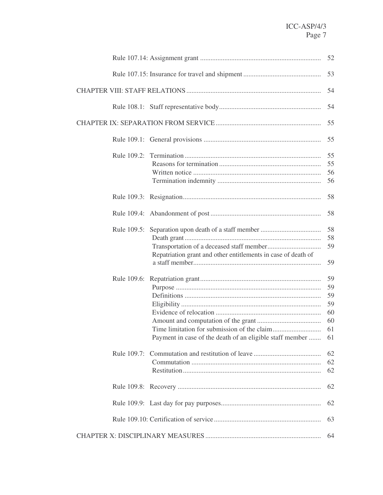|                                                               | 52                                     |
|---------------------------------------------------------------|----------------------------------------|
|                                                               | 53                                     |
|                                                               | 54                                     |
|                                                               | 54                                     |
|                                                               | 55                                     |
|                                                               | 55                                     |
| Rule 109.2:                                                   | 55<br>55<br>56<br>56                   |
|                                                               | 58                                     |
|                                                               | 58                                     |
| Repatriation grant and other entitlements in case of death of | 58<br>58<br>59<br>59                   |
| Payment in case of the death of an eligible staff member  61  | 59<br>59<br>59<br>59<br>60<br>60<br>61 |
|                                                               | 62<br>62<br>62                         |
|                                                               | 62                                     |
|                                                               | 62                                     |
|                                                               | 63                                     |
|                                                               | 64                                     |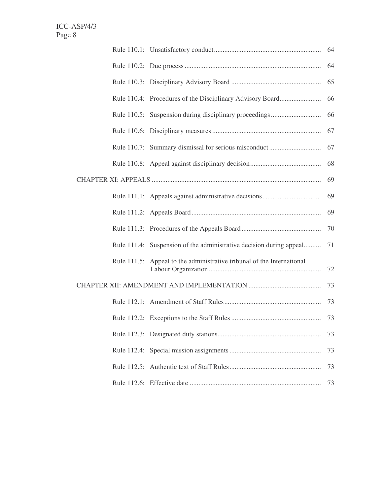|             |                                                                     | 64 |
|-------------|---------------------------------------------------------------------|----|
|             |                                                                     | 64 |
|             |                                                                     | 65 |
|             |                                                                     | 66 |
|             |                                                                     | 66 |
|             |                                                                     | 67 |
|             |                                                                     |    |
|             |                                                                     | 68 |
|             |                                                                     | 69 |
|             |                                                                     |    |
|             |                                                                     | 69 |
|             |                                                                     | 70 |
|             | Rule 111.4: Suspension of the administrative decision during appeal | 71 |
| Rule 111.5: | Appeal to the administrative tribunal of the International          |    |
|             |                                                                     |    |
|             |                                                                     | 73 |
|             |                                                                     |    |
|             |                                                                     | 73 |
|             |                                                                     | 73 |
|             |                                                                     | 73 |
|             |                                                                     | 73 |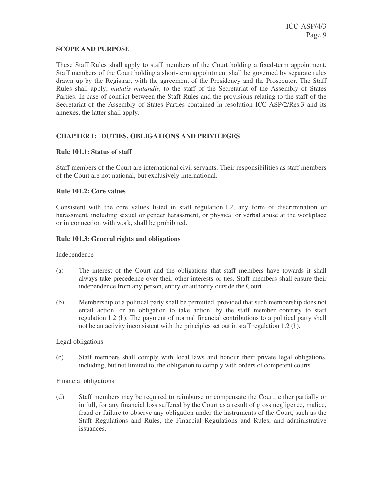#### **SCOPE AND PURPOSE**

These Staff Rules shall apply to staff members of the Court holding a fixed-term appointment. Staff members of the Court holding a short-term appointment shall be governed by separate rules drawn up by the Registrar, with the agreement of the Presidency and the Prosecutor. The Staff Rules shall apply, *mutatis mutandis*, to the staff of the Secretariat of the Assembly of States Parties. In case of conflict between the Staff Rules and the provisions relating to the staff of the Secretariat of the Assembly of States Parties contained in resolution ICC-ASP/2/Res.3 and its annexes, the latter shall apply.

# **CHAPTER I: DUTIES, OBLIGATIONS AND PRIVILEGES**

# **Rule 101.1: Status of staff**

Staff members of the Court are international civil servants. Their responsibilities as staff members of the Court are not national, but exclusively international.

#### **Rule 101.2: Core values**

Consistent with the core values listed in staff regulation 1.2, any form of discrimination or harassment, including sexual or gender harassment, or physical or verbal abuse at the workplace or in connection with work, shall be prohibited.

#### **Rule 101.3: General rights and obligations**

#### Independence

- (a) The interest of the Court and the obligations that staff members have towards it shall always take precedence over their other interests or ties. Staff members shall ensure their independence from any person, entity or authority outside the Court.
- (b) Membership of a political party shall be permitted, provided that such membership does not entail action, or an obligation to take action, by the staff member contrary to staff regulation 1.2 (h). The payment of normal financial contributions to a political party shall not be an activity inconsistent with the principles set out in staff regulation 1.2 (h).

#### Legal obligations

(c) Staff members shall comply with local laws and honour their private legal obligations, including, but not limited to, the obligation to comply with orders of competent courts.

#### Financial obligations

(d) Staff members may be required to reimburse or compensate the Court, either partially or in full, for any financial loss suffered by the Court as a result of gross negligence, malice, fraud or failure to observe any obligation under the instruments of the Court, such as the Staff Regulations and Rules, the Financial Regulations and Rules, and administrative issuances.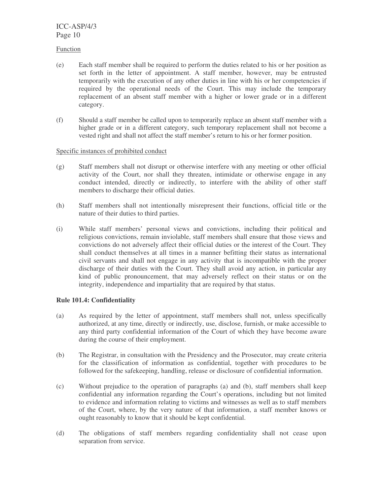#### Function

- (e) Each staff member shall be required to perform the duties related to his or her position as set forth in the letter of appointment. A staff member, however, may be entrusted temporarily with the execution of any other duties in line with his or her competencies if required by the operational needs of the Court. This may include the temporary replacement of an absent staff member with a higher or lower grade or in a different category.
- (f) Should a staff member be called upon to temporarily replace an absent staff member with a higher grade or in a different category, such temporary replacement shall not become a vested right and shall not affect the staff member's return to his or her former position.

# Specific instances of prohibited conduct

- (g) Staff members shall not disrupt or otherwise interfere with any meeting or other official activity of the Court, nor shall they threaten, intimidate or otherwise engage in any conduct intended, directly or indirectly, to interfere with the ability of other staff members to discharge their official duties.
- (h) Staff members shall not intentionally misrepresent their functions, official title or the nature of their duties to third parties.
- (i) While staff members' personal views and convictions, including their political and religious convictions, remain inviolable, staff members shall ensure that those views and convictions do not adversely affect their official duties or the interest of the Court. They shall conduct themselves at all times in a manner befitting their status as international civil servants and shall not engage in any activity that is incompatible with the proper discharge of their duties with the Court. They shall avoid any action, in particular any kind of public pronouncement, that may adversely reflect on their status or on the integrity, independence and impartiality that are required by that status.

# **Rule 101.4: Confidentiality**

- (a) As required by the letter of appointment, staff members shall not, unless specifically authorized, at any time, directly or indirectly, use, disclose, furnish, or make accessible to any third party confidential information of the Court of which they have become aware during the course of their employment.
- (b) The Registrar, in consultation with the Presidency and the Prosecutor, may create criteria for the classification of information as confidential, together with procedures to be followed for the safekeeping, handling, release or disclosure of confidential information.
- (c) Without prejudice to the operation of paragraphs (a) and (b), staff members shall keep confidential any information regarding the Court's operations, including but not limited to evidence and information relating to victims and witnesses as well as to staff members of the Court, where, by the very nature of that information, a staff member knows or ought reasonably to know that it should be kept confidential.
- (d) The obligations of staff members regarding confidentiality shall not cease upon separation from service.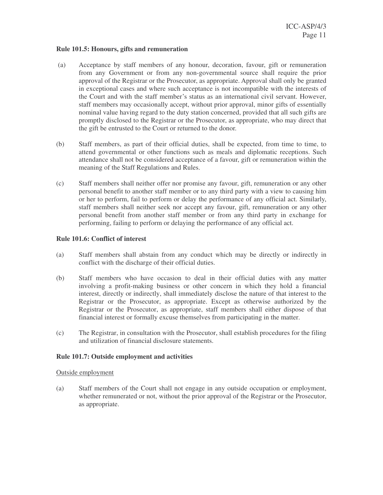#### **Rule 101.5: Honours, gifts and remuneration**

- (a) Acceptance by staff members of any honour, decoration, favour, gift or remuneration from any Government or from any non-governmental source shall require the prior approval of the Registrar or the Prosecutor, as appropriate. Approval shall only be granted in exceptional cases and where such acceptance is not incompatible with the interests of the Court and with the staff member's status as an international civil servant. However, staff members may occasionally accept, without prior approval, minor gifts of essentially nominal value having regard to the duty station concerned, provided that all such gifts are promptly disclosed to the Registrar or the Prosecutor, as appropriate, who may direct that the gift be entrusted to the Court or returned to the donor.
- (b) Staff members, as part of their official duties, shall be expected, from time to time, to attend governmental or other functions such as meals and diplomatic receptions. Such attendance shall not be considered acceptance of a favour, gift or remuneration within the meaning of the Staff Regulations and Rules.
- (c) Staff members shall neither offer nor promise any favour, gift, remuneration or any other personal benefit to another staff member or to any third party with a view to causing him or her to perform, fail to perform or delay the performance of any official act. Similarly, staff members shall neither seek nor accept any favour, gift, remuneration or any other personal benefit from another staff member or from any third party in exchange for performing, failing to perform or delaying the performance of any official act.

# **Rule 101.6: Conflict of interest**

- (a) Staff members shall abstain from any conduct which may be directly or indirectly in conflict with the discharge of their official duties.
- (b) Staff members who have occasion to deal in their official duties with any matter involving a profit-making business or other concern in which they hold a financial interest, directly or indirectly, shall immediately disclose the nature of that interest to the Registrar or the Prosecutor, as appropriate. Except as otherwise authorized by the Registrar or the Prosecutor, as appropriate, staff members shall either dispose of that financial interest or formally excuse themselves from participating in the matter.
- (c) The Registrar, in consultation with the Prosecutor, shall establish procedures for the filing and utilization of financial disclosure statements.

#### **Rule 101.7: Outside employment and activities**

#### Outside employment

(a) Staff members of the Court shall not engage in any outside occupation or employment, whether remunerated or not, without the prior approval of the Registrar or the Prosecutor, as appropriate.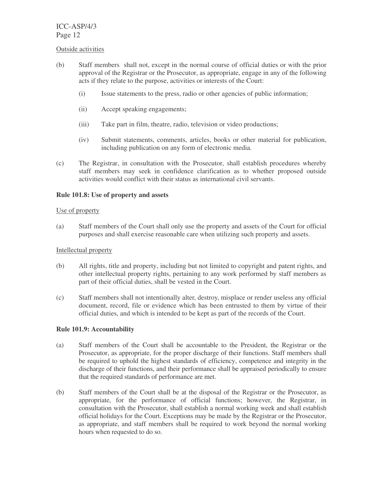#### Outside activities

- (b) Staff members shall not, except in the normal course of official duties or with the prior approval of the Registrar or the Prosecutor, as appropriate, engage in any of the following acts if they relate to the purpose, activities or interests of the Court:
	- (i) Issue statements to the press, radio or other agencies of public information;
	- (ii) Accept speaking engagements;
	- (iii) Take part in film, theatre, radio, television or video productions;
	- (iv) Submit statements, comments, articles, books or other material for publication, including publication on any form of electronic media.
- (c) The Registrar, in consultation with the Prosecutor, shall establish procedures whereby staff members may seek in confidence clarification as to whether proposed outside activities would conflict with their status as international civil servants.

# **Rule 101.8: Use of property and assets**

# Use of property

(a) Staff members of the Court shall only use the property and assets of the Court for official purposes and shall exercise reasonable care when utilizing such property and assets.

## Intellectual property

- (b) All rights, title and property, including but not limited to copyright and patent rights, and other intellectual property rights, pertaining to any work performed by staff members as part of their official duties, shall be vested in the Court.
- (c) Staff members shall not intentionally alter, destroy, misplace or render useless any official document, record, file or evidence which has been entrusted to them by virtue of their official duties, and which is intended to be kept as part of the records of the Court.

# **Rule 101.9: Accountability**

- (a) Staff members of the Court shall be accountable to the President, the Registrar or the Prosecutor, as appropriate, for the proper discharge of their functions. Staff members shall be required to uphold the highest standards of efficiency, competence and integrity in the discharge of their functions, and their performance shall be appraised periodically to ensure that the required standards of performance are met.
- (b) Staff members of the Court shall be at the disposal of the Registrar or the Prosecutor, as appropriate, for the performance of official functions; however, the Registrar, in consultation with the Prosecutor, shall establish a normal working week and shall establish official holidays for the Court. Exceptions may be made by the Registrar or the Prosecutor, as appropriate, and staff members shall be required to work beyond the normal working hours when requested to do so.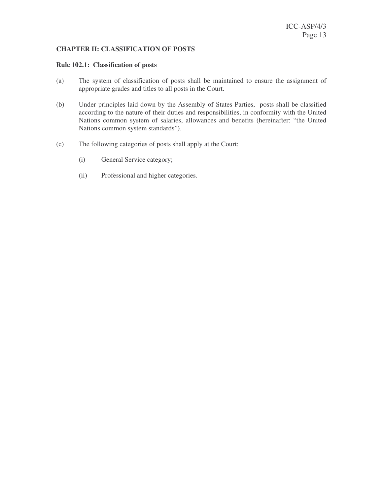# **CHAPTER II: CLASSIFICATION OF POSTS**

#### **Rule 102.1: Classification of posts**

- (a) The system of classification of posts shall be maintained to ensure the assignment of appropriate grades and titles to all posts in the Court.
- (b) Under principles laid down by the Assembly of States Parties, posts shall be classified according to the nature of their duties and responsibilities, in conformity with the United Nations common system of salaries, allowances and benefits (hereinafter: "the United Nations common system standards").
- (c) The following categories of posts shall apply at the Court:
	- (i) General Service category;
	- (ii) Professional and higher categories.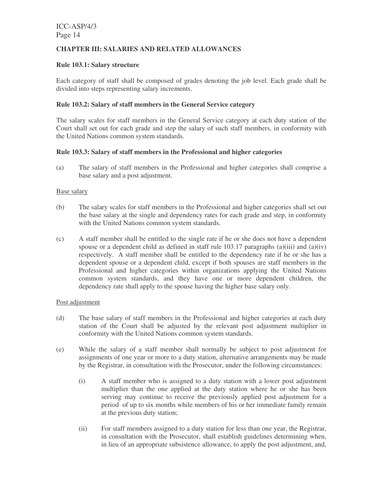# **CHAPTER III: SALARIES AND RELATED ALLOWANCES**

## **Rule 103.1: Salary structure**

Each category of staff shall be composed of grades denoting the job level. Each grade shall be divided into steps representing salary increments.

## **Rule 103.2: Salary of staff members in the General Service category**

The salary scales for staff members in the General Service category at each duty station of the Court shall set out for each grade and step the salary of such staff members, in conformity with the United Nations common system standards.

#### **Rule 103.3: Salary of staff members in the Professional and higher categories**

(a) The salary of staff members in the Professional and higher categories shall comprise a base salary and a post adjustment.

#### Base salary

- (b) The salary scales for staff members in the Professional and higher categories shall set out the base salary at the single and dependency rates for each grade and step, in conformity with the United Nations common system standards.
- (c) A staff member shall be entitled to the single rate if he or she does not have a dependent spouse or a dependent child as defined in staff rule  $103.17$  paragraphs (a)(iii) and (a)(iv) respectively. A staff member shall be entitled to the dependency rate if he or she has a dependent spouse or a dependent child, except if both spouses are staff members in the Professional and higher categories within organizations applying the United Nations common system standards, and they have one or more dependent children, the dependency rate shall apply to the spouse having the higher base salary only.

#### Post adjustment

- (d) The base salary of staff members in the Professional and higher categories at each duty station of the Court shall be adjusted by the relevant post adjustment multiplier in conformity with the United Nations common system standards.
- (e) While the salary of a staff member shall normally be subject to post adjustment for assignments of one year or more to a duty station, alternative arrangements may be made by the Registrar, in consultation with the Prosecutor, under the following circumstances:
	- (i) A staff member who is assigned to a duty station with a lower post adjustment multiplier than the one applied at the duty station where he or she has been serving may continue to receive the previously applied post adjustment for a period of up to six months while members of his or her immediate family remain at the previous duty station;
	- (ii) For staff members assigned to a duty station for less than one year, the Registrar, in consultation with the Prosecutor, shall establish guidelines determining when, in lieu of an appropriate subsistence allowance, to apply the post adjustment, and,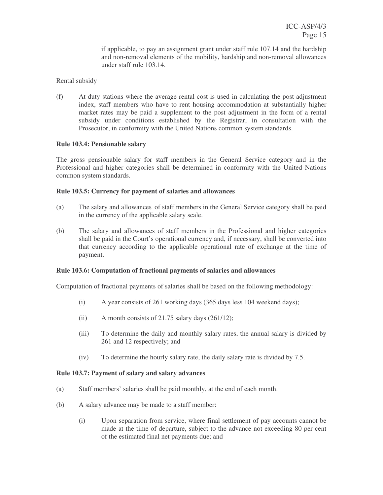if applicable, to pay an assignment grant under staff rule 107.14 and the hardship and non-removal elements of the mobility, hardship and non-removal allowances under staff rule 103.14.

# Rental subsidy

(f) At duty stations where the average rental cost is used in calculating the post adjustment index, staff members who have to rent housing accommodation at substantially higher market rates may be paid a supplement to the post adjustment in the form of a rental subsidy under conditions established by the Registrar, in consultation with the Prosecutor, in conformity with the United Nations common system standards.

# **Rule 103.4: Pensionable salary**

The gross pensionable salary for staff members in the General Service category and in the Professional and higher categories shall be determined in conformity with the United Nations common system standards.

# **Rule 103.5: Currency for payment of salaries and allowances**

- (a) The salary and allowances of staff members in the General Service category shall be paid in the currency of the applicable salary scale.
- (b) The salary and allowances of staff members in the Professional and higher categories shall be paid in the Court's operational currency and, if necessary, shall be converted into that currency according to the applicable operational rate of exchange at the time of payment.

# **Rule 103.6: Computation of fractional payments of salaries and allowances**

Computation of fractional payments of salaries shall be based on the following methodology:

- (i) A year consists of 261 working days (365 days less 104 weekend days);
- (ii) A month consists of 21.75 salary days  $(261/12)$ ;
- (iii) To determine the daily and monthly salary rates, the annual salary is divided by 261 and 12 respectively; and
- (iv) To determine the hourly salary rate, the daily salary rate is divided by 7.5.

# **Rule 103.7: Payment of salary and salary advances**

- (a) Staff members' salaries shall be paid monthly, at the end of each month.
- (b) A salary advance may be made to a staff member:
	- (i) Upon separation from service, where final settlement of pay accounts cannot be made at the time of departure, subject to the advance not exceeding 80 per cent of the estimated final net payments due; and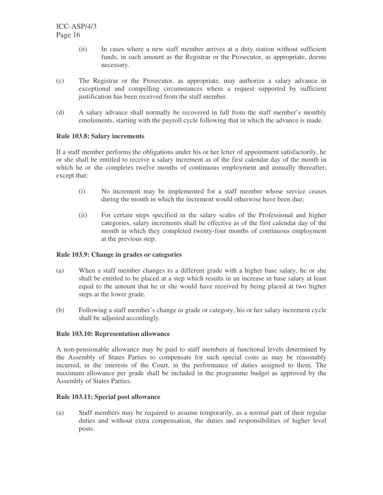- (ii) In cases where a new staff member arrives at a duty station without sufficient funds, in such amount as the Registrar or the Prosecutor, as appropriate, deems necessary.
- (c) The Registrar or the Prosecutor, as appropriate, may authorize a salary advance in exceptional and compelling circumstances where a request supported by sufficient justification has been received from the staff member.
- (d) A salary advance shall normally be recovered in full from the staff member's monthly emoluments, starting with the payroll cycle following that in which the advance is made.

# **Rule 103.8: Salary increments**

If a staff member performs the obligations under his or her letter of appointment satisfactorily, he or she shall be entitled to receive a salary increment as of the first calendar day of the month in which he or she completes twelve months of continuous employment and annually thereafter, except that:

- (i) No increment may be implemented for a staff member whose service ceases during the month in which the increment would otherwise have been due;
- (ii) For certain steps specified in the salary scales of the Professional and higher categories, salary increments shall be effective as of the first calendar day of the month in which they completed twenty-four months of continuous employment at the previous step.

# **Rule 103.9: Change in grades or categories**

- (a) When a staff member changes to a different grade with a higher base salary, he or she shall be entitled to be placed at a step which results in an increase in base salary at least equal to the amount that he or she would have received by being placed at two higher steps at the lower grade.
- (b) Following a staff member's change in grade or category, his or her salary increment cycle shall be adjusted accordingly.

# **Rule 103.10: Representation allowance**

A non-pensionable allowance may be paid to staff members at functional levels determined by the Assembly of States Parties to compensate for such special costs as may be reasonably incurred, in the interests of the Court, in the performance of duties assigned to them. The maximum allowance per grade shall be included in the programme budget as approved by the Assembly of States Parties.

# **Rule 103.11: Special post allowance**

(a) Staff members may be required to assume temporarily, as a normal part of their regular duties and without extra compensation, the duties and responsibilities of higher level posts.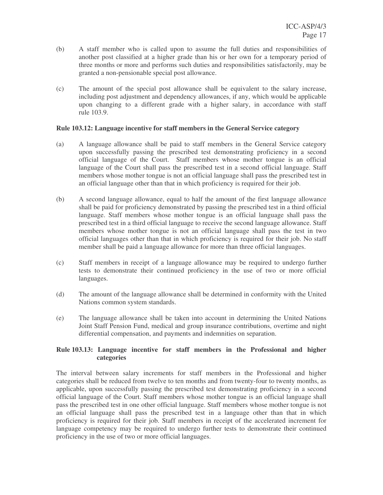- (b) A staff member who is called upon to assume the full duties and responsibilities of another post classified at a higher grade than his or her own for a temporary period of three months or more and performs such duties and responsibilities satisfactorily, may be granted a non-pensionable special post allowance.
- (c) The amount of the special post allowance shall be equivalent to the salary increase, including post adjustment and dependency allowances, if any, which would be applicable upon changing to a different grade with a higher salary, in accordance with staff rule 103.9.

## **Rule 103.12: Language incentive for staff members in the General Service category**

- (a) A language allowance shall be paid to staff members in the General Service category upon successfully passing the prescribed test demonstrating proficiency in a second official language of the Court. Staff members whose mother tongue is an official language of the Court shall pass the prescribed test in a second official language. Staff members whose mother tongue is not an official language shall pass the prescribed test in an official language other than that in which proficiency is required for their job.
- (b) A second language allowance, equal to half the amount of the first language allowance shall be paid for proficiency demonstrated by passing the prescribed test in a third official language. Staff members whose mother tongue is an official language shall pass the prescribed test in a third official language to receive the second language allowance. Staff members whose mother tongue is not an official language shall pass the test in two official languages other than that in which proficiency is required for their job. No staff member shall be paid a language allowance for more than three official languages.
- (c) Staff members in receipt of a language allowance may be required to undergo further tests to demonstrate their continued proficiency in the use of two or more official languages.
- (d) The amount of the language allowance shall be determined in conformity with the United Nations common system standards.
- (e) The language allowance shall be taken into account in determining the United Nations Joint Staff Pension Fund, medical and group insurance contributions, overtime and night differential compensation, and payments and indemnities on separation.

# **Rule 103.13: Language incentive for staff members in the Professional and higher categories**

The interval between salary increments for staff members in the Professional and higher categories shall be reduced from twelve to ten months and from twenty-four to twenty months, as applicable, upon successfully passing the prescribed test demonstrating proficiency in a second official language of the Court. Staff members whose mother tongue is an official language shall pass the prescribed test in one other official language. Staff members whose mother tongue is not an official language shall pass the prescribed test in a language other than that in which proficiency is required for their job. Staff members in receipt of the accelerated increment for language competency may be required to undergo further tests to demonstrate their continued proficiency in the use of two or more official languages.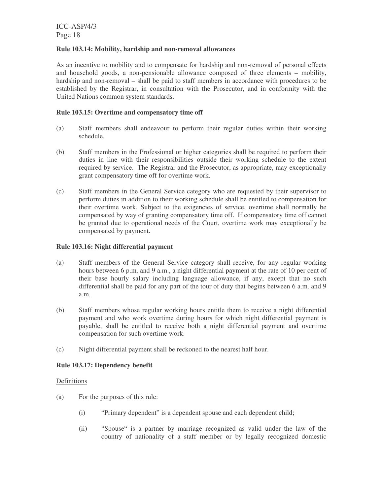#### **Rule 103.14: Mobility, hardship and non-removal allowances**

As an incentive to mobility and to compensate for hardship and non-removal of personal effects and household goods, a non-pensionable allowance composed of three elements – mobility, hardship and non-removal – shall be paid to staff members in accordance with procedures to be established by the Registrar, in consultation with the Prosecutor, and in conformity with the United Nations common system standards.

# **Rule 103.15: Overtime and compensatory time off**

- (a) Staff members shall endeavour to perform their regular duties within their working schedule.
- (b) Staff members in the Professional or higher categories shall be required to perform their duties in line with their responsibilities outside their working schedule to the extent required by service. The Registrar and the Prosecutor, as appropriate, may exceptionally grant compensatory time off for overtime work.
- (c) Staff members in the General Service category who are requested by their supervisor to perform duties in addition to their working schedule shall be entitled to compensation for their overtime work. Subject to the exigencies of service, overtime shall normally be compensated by way of granting compensatory time off. If compensatory time off cannot be granted due to operational needs of the Court, overtime work may exceptionally be compensated by payment.

#### **Rule 103.16: Night differential payment**

- (a) Staff members of the General Service category shall receive, for any regular working hours between 6 p.m. and 9 a.m., a night differential payment at the rate of 10 per cent of their base hourly salary including language allowance, if any, except that no such differential shall be paid for any part of the tour of duty that begins between 6 a.m. and 9 a.m.
- (b) Staff members whose regular working hours entitle them to receive a night differential payment and who work overtime during hours for which night differential payment is payable, shall be entitled to receive both a night differential payment and overtime compensation for such overtime work.
- (c) Night differential payment shall be reckoned to the nearest half hour.

# **Rule 103.17: Dependency benefit**

#### Definitions

- (a) For the purposes of this rule:
	- (i) "Primary dependent" is a dependent spouse and each dependent child;
	- (ii) "Spouse" is a partner by marriage recognized as valid under the law of the country of nationality of a staff member or by legally recognized domestic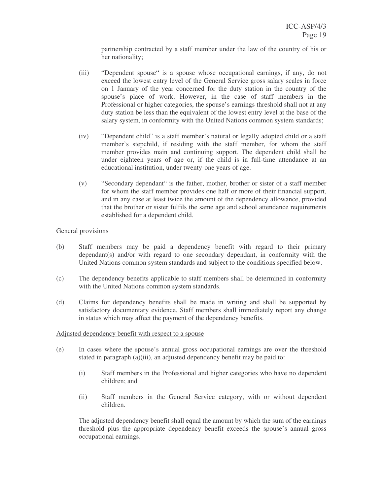partnership contracted by a staff member under the law of the country of his or her nationality;

- (iii) "Dependent spouse" is a spouse whose occupational earnings, if any, do not exceed the lowest entry level of the General Service gross salary scales in force on 1 January of the year concerned for the duty station in the country of the spouse's place of work. However, in the case of staff members in the Professional or higher categories, the spouse's earnings threshold shall not at any duty station be less than the equivalent of the lowest entry level at the base of the salary system, in conformity with the United Nations common system standards;
- (iv) "Dependent child" is a staff member's natural or legally adopted child or a staff member's stepchild, if residing with the staff member, for whom the staff member provides main and continuing support. The dependent child shall be under eighteen years of age or, if the child is in full-time attendance at an educational institution, under twenty-one years of age.
- (v) "Secondary dependant" is the father, mother, brother or sister of a staff member for whom the staff member provides one half or more of their financial support, and in any case at least twice the amount of the dependency allowance, provided that the brother or sister fulfils the same age and school attendance requirements established for a dependent child.

# General provisions

- (b) Staff members may be paid a dependency benefit with regard to their primary dependant(s) and/or with regard to one secondary dependant, in conformity with the United Nations common system standards and subject to the conditions specified below.
- (c) The dependency benefits applicable to staff members shall be determined in conformity with the United Nations common system standards.
- (d) Claims for dependency benefits shall be made in writing and shall be supported by satisfactory documentary evidence. Staff members shall immediately report any change in status which may affect the payment of the dependency benefits.

#### Adjusted dependency benefit with respect to a spouse

- (e) In cases where the spouse's annual gross occupational earnings are over the threshold stated in paragraph (a)(iii), an adjusted dependency benefit may be paid to:
	- (i) Staff members in the Professional and higher categories who have no dependent children; and
	- (ii) Staff members in the General Service category, with or without dependent children.

The adjusted dependency benefit shall equal the amount by which the sum of the earnings threshold plus the appropriate dependency benefit exceeds the spouse's annual gross occupational earnings.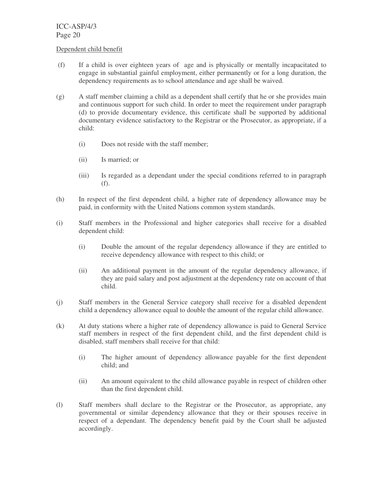#### Dependent child benefit

- (f) If a child is over eighteen years of age and is physically or mentally incapacitated to engage in substantial gainful employment, either permanently or for a long duration, the dependency requirements as to school attendance and age shall be waived.
- (g) A staff member claiming a child as a dependent shall certify that he or she provides main and continuous support for such child. In order to meet the requirement under paragraph (d) to provide documentary evidence, this certificate shall be supported by additional documentary evidence satisfactory to the Registrar or the Prosecutor, as appropriate, if a child:
	- (i) Does not reside with the staff member;
	- (ii) Is married; or
	- (iii) Is regarded as a dependant under the special conditions referred to in paragraph (f).
- (h) In respect of the first dependent child, a higher rate of dependency allowance may be paid, in conformity with the United Nations common system standards.
- (i) Staff members in the Professional and higher categories shall receive for a disabled dependent child:
	- (i) Double the amount of the regular dependency allowance if they are entitled to receive dependency allowance with respect to this child; or
	- (ii) An additional payment in the amount of the regular dependency allowance, if they are paid salary and post adjustment at the dependency rate on account of that child.
- (j) Staff members in the General Service category shall receive for a disabled dependent child a dependency allowance equal to double the amount of the regular child allowance.
- (k) At duty stations where a higher rate of dependency allowance is paid to General Service staff members in respect of the first dependent child, and the first dependent child is disabled, staff members shall receive for that child:
	- (i) The higher amount of dependency allowance payable for the first dependent child; and
	- (ii) An amount equivalent to the child allowance payable in respect of children other than the first dependent child.
- (l) Staff members shall declare to the Registrar or the Prosecutor, as appropriate, any governmental or similar dependency allowance that they or their spouses receive in respect of a dependant. The dependency benefit paid by the Court shall be adjusted accordingly.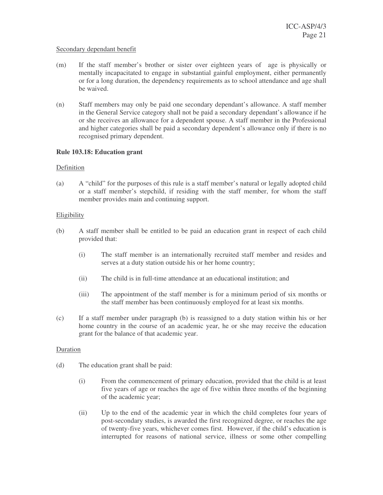#### Secondary dependant benefit

- (m) If the staff member's brother or sister over eighteen years of age is physically or mentally incapacitated to engage in substantial gainful employment, either permanently or for a long duration, the dependency requirements as to school attendance and age shall be waived.
- (n) Staff members may only be paid one secondary dependant's allowance. A staff member in the General Service category shall not be paid a secondary dependant's allowance if he or she receives an allowance for a dependent spouse. A staff member in the Professional and higher categories shall be paid a secondary dependent's allowance only if there is no recognised primary dependent.

#### **Rule 103.18: Education grant**

#### Definition

(a) A "child" for the purposes of this rule is a staff member's natural or legally adopted child or a staff member's stepchild, if residing with the staff member, for whom the staff member provides main and continuing support.

#### **Eligibility**

- (b) A staff member shall be entitled to be paid an education grant in respect of each child provided that:
	- (i) The staff member is an internationally recruited staff member and resides and serves at a duty station outside his or her home country;
	- (ii) The child is in full-time attendance at an educational institution; and
	- (iii) The appointment of the staff member is for a minimum period of six months or the staff member has been continuously employed for at least six months.
- (c) If a staff member under paragraph (b) is reassigned to a duty station within his or her home country in the course of an academic year, he or she may receive the education grant for the balance of that academic year.

#### Duration

- (d) The education grant shall be paid:
	- (i) From the commencement of primary education, provided that the child is at least five years of age or reaches the age of five within three months of the beginning of the academic year;
	- (ii) Up to the end of the academic year in which the child completes four years of post-secondary studies, is awarded the first recognized degree, or reaches the age of twenty-five years, whichever comes first. However, if the child's education is interrupted for reasons of national service, illness or some other compelling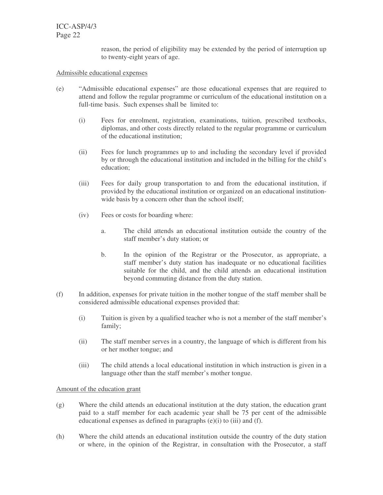> reason, the period of eligibility may be extended by the period of interruption up to twenty-eight years of age.

#### Admissible educational expenses

- (e) "Admissible educational expenses" are those educational expenses that are required to attend and follow the regular programme or curriculum of the educational institution on a full-time basis. Such expenses shall be limited to:
	- (i) Fees for enrolment, registration, examinations, tuition, prescribed textbooks, diplomas, and other costs directly related to the regular programme or curriculum of the educational institution;
	- (ii) Fees for lunch programmes up to and including the secondary level if provided by or through the educational institution and included in the billing for the child's education;
	- (iii) Fees for daily group transportation to and from the educational institution, if provided by the educational institution or organized on an educational institutionwide basis by a concern other than the school itself;
	- (iv) Fees or costs for boarding where:
		- a. The child attends an educational institution outside the country of the staff member's duty station; or
		- b. In the opinion of the Registrar or the Prosecutor, as appropriate, a staff member's duty station has inadequate or no educational facilities suitable for the child, and the child attends an educational institution beyond commuting distance from the duty station.
- (f) In addition, expenses for private tuition in the mother tongue of the staff member shall be considered admissible educational expenses provided that:
	- (i) Tuition is given by a qualified teacher who is not a member of the staff member's family;
	- (ii) The staff member serves in a country, the language of which is different from his or her mother tongue; and
	- (iii) The child attends a local educational institution in which instruction is given in a language other than the staff member's mother tongue.

# Amount of the education grant

- (g) Where the child attends an educational institution at the duty station, the education grant paid to a staff member for each academic year shall be 75 per cent of the admissible educational expenses as defined in paragraphs (e)(i) to (iii) and (f).
- (h) Where the child attends an educational institution outside the country of the duty station or where, in the opinion of the Registrar, in consultation with the Prosecutor, a staff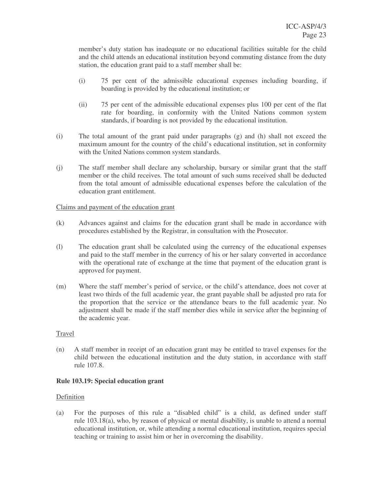member's duty station has inadequate or no educational facilities suitable for the child and the child attends an educational institution beyond commuting distance from the duty station, the education grant paid to a staff member shall be:

- (i) 75 per cent of the admissible educational expenses including boarding, if boarding is provided by the educational institution; or
- (ii) 75 per cent of the admissible educational expenses plus 100 per cent of the flat rate for boarding, in conformity with the United Nations common system standards, if boarding is not provided by the educational institution.
- (i) The total amount of the grant paid under paragraphs (g) and (h) shall not exceed the maximum amount for the country of the child's educational institution, set in conformity with the United Nations common system standards.
- (j) The staff member shall declare any scholarship, bursary or similar grant that the staff member or the child receives. The total amount of such sums received shall be deducted from the total amount of admissible educational expenses before the calculation of the education grant entitlement.

#### Claims and payment of the education grant

- (k) Advances against and claims for the education grant shall be made in accordance with procedures established by the Registrar, in consultation with the Prosecutor.
- (l) The education grant shall be calculated using the currency of the educational expenses and paid to the staff member in the currency of his or her salary converted in accordance with the operational rate of exchange at the time that payment of the education grant is approved for payment.
- (m) Where the staff member's period of service, or the child's attendance, does not cover at least two thirds of the full academic year, the grant payable shall be adjusted pro rata for the proportion that the service or the attendance bears to the full academic year. No adjustment shall be made if the staff member dies while in service after the beginning of the academic year.

# Travel

(n) A staff member in receipt of an education grant may be entitled to travel expenses for the child between the educational institution and the duty station, in accordance with staff rule 107.8.

# **Rule 103.19: Special education grant**

# Definition

(a) For the purposes of this rule a "disabled child" is a child, as defined under staff rule 103.18(a), who, by reason of physical or mental disability, is unable to attend a normal educational institution, or, while attending a normal educational institution, requires special teaching or training to assist him or her in overcoming the disability.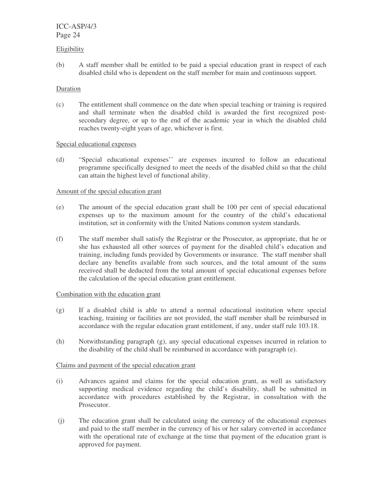#### Eligibility

(b) A staff member shall be entitled to be paid a special education grant in respect of each disabled child who is dependent on the staff member for main and continuous support.

## Duration

(c) The entitlement shall commence on the date when special teaching or training is required and shall terminate when the disabled child is awarded the first recognized postsecondary degree, or up to the end of the academic year in which the disabled child reaches twenty-eight years of age, whichever is first.

#### Special educational expenses

(d) "Special educational expenses'' are expenses incurred to follow an educational programme specifically designed to meet the needs of the disabled child so that the child can attain the highest level of functional ability.

#### Amount of the special education grant

- (e) The amount of the special education grant shall be 100 per cent of special educational expenses up to the maximum amount for the country of the child's educational institution, set in conformity with the United Nations common system standards.
- (f) The staff member shall satisfy the Registrar or the Prosecutor, as appropriate, that he or she has exhausted all other sources of payment for the disabled child's education and training, including funds provided by Governments or insurance. The staff member shall declare any benefits available from such sources, and the total amount of the sums received shall be deducted from the total amount of special educational expenses before the calculation of the special education grant entitlement.

# Combination with the education grant

- (g) If a disabled child is able to attend a normal educational institution where special teaching, training or facilities are not provided, the staff member shall be reimbursed in accordance with the regular education grant entitlement, if any, under staff rule 103.18.
- (h) Notwithstanding paragraph (g), any special educational expenses incurred in relation to the disability of the child shall be reimbursed in accordance with paragraph (e).

# Claims and payment of the special education grant

- (i) Advances against and claims for the special education grant, as well as satisfactory supporting medical evidence regarding the child's disability, shall be submitted in accordance with procedures established by the Registrar, in consultation with the Prosecutor.
- (j) The education grant shall be calculated using the currency of the educational expenses and paid to the staff member in the currency of his or her salary converted in accordance with the operational rate of exchange at the time that payment of the education grant is approved for payment.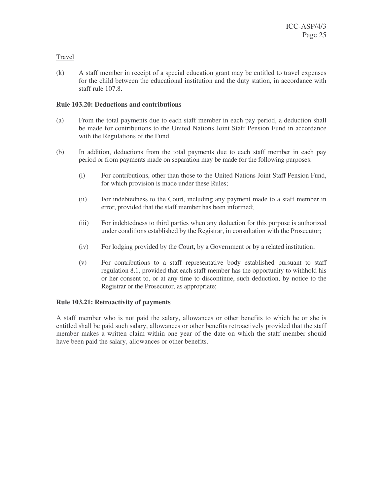# Travel

(k) A staff member in receipt of a special education grant may be entitled to travel expenses for the child between the educational institution and the duty station, in accordance with staff rule 107.8.

# **Rule 103.20: Deductions and contributions**

- (a) From the total payments due to each staff member in each pay period, a deduction shall be made for contributions to the United Nations Joint Staff Pension Fund in accordance with the Regulations of the Fund.
- (b) In addition, deductions from the total payments due to each staff member in each pay period or from payments made on separation may be made for the following purposes:
	- (i) For contributions, other than those to the United Nations Joint Staff Pension Fund, for which provision is made under these Rules;
	- (ii) For indebtedness to the Court, including any payment made to a staff member in error, provided that the staff member has been informed;
	- (iii) For indebtedness to third parties when any deduction for this purpose is authorized under conditions established by the Registrar, in consultation with the Prosecutor;
	- (iv) For lodging provided by the Court, by a Government or by a related institution;
	- (v) For contributions to a staff representative body established pursuant to staff regulation 8.1, provided that each staff member has the opportunity to withhold his or her consent to, or at any time to discontinue, such deduction, by notice to the Registrar or the Prosecutor, as appropriate;

# **Rule 103.21: Retroactivity of payments**

A staff member who is not paid the salary, allowances or other benefits to which he or she is entitled shall be paid such salary, allowances or other benefits retroactively provided that the staff member makes a written claim within one year of the date on which the staff member should have been paid the salary, allowances or other benefits.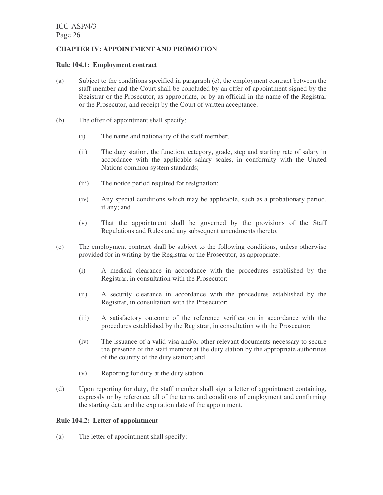# **CHAPTER IV: APPOINTMENT AND PROMOTION**

#### **Rule 104.1: Employment contract**

- (a) Subject to the conditions specified in paragraph (c), the employment contract between the staff member and the Court shall be concluded by an offer of appointment signed by the Registrar or the Prosecutor, as appropriate, or by an official in the name of the Registrar or the Prosecutor, and receipt by the Court of written acceptance.
- (b) The offer of appointment shall specify:
	- (i) The name and nationality of the staff member;
	- (ii) The duty station, the function, category, grade, step and starting rate of salary in accordance with the applicable salary scales, in conformity with the United Nations common system standards;
	- (iii) The notice period required for resignation;
	- (iv) Any special conditions which may be applicable, such as a probationary period, if any; and
	- (v) That the appointment shall be governed by the provisions of the Staff Regulations and Rules and any subsequent amendments thereto.
- (c) The employment contract shall be subject to the following conditions, unless otherwise provided for in writing by the Registrar or the Prosecutor, as appropriate:
	- (i) A medical clearance in accordance with the procedures established by the Registrar, in consultation with the Prosecutor;
	- (ii) A security clearance in accordance with the procedures established by the Registrar, in consultation with the Prosecutor;
	- (iii) A satisfactory outcome of the reference verification in accordance with the procedures established by the Registrar, in consultation with the Prosecutor;
	- (iv) The issuance of a valid visa and/or other relevant documents necessary to secure the presence of the staff member at the duty station by the appropriate authorities of the country of the duty station; and
	- (v) Reporting for duty at the duty station.
- (d) Upon reporting for duty, the staff member shall sign a letter of appointment containing, expressly or by reference, all of the terms and conditions of employment and confirming the starting date and the expiration date of the appointment.

#### **Rule 104.2: Letter of appointment**

(a) The letter of appointment shall specify: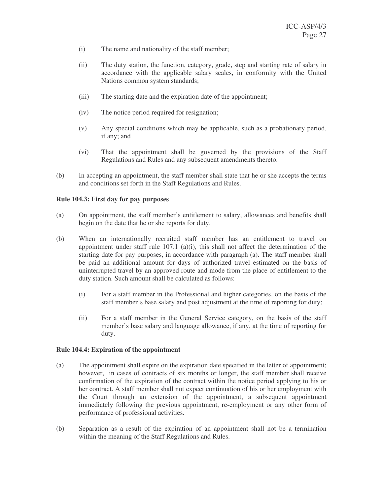- (i) The name and nationality of the staff member;
- (ii) The duty station, the function, category, grade, step and starting rate of salary in accordance with the applicable salary scales, in conformity with the United Nations common system standards;
- (iii) The starting date and the expiration date of the appointment;
- (iv) The notice period required for resignation;
- (v) Any special conditions which may be applicable, such as a probationary period, if any; and
- (vi) That the appointment shall be governed by the provisions of the Staff Regulations and Rules and any subsequent amendments thereto.
- (b) In accepting an appointment, the staff member shall state that he or she accepts the terms and conditions set forth in the Staff Regulations and Rules.

#### **Rule 104.3: First day for pay purposes**

- (a) On appointment, the staff member's entitlement to salary, allowances and benefits shall begin on the date that he or she reports for duty.
- (b) When an internationally recruited staff member has an entitlement to travel on appointment under staff rule  $107.1$  (a)(i), this shall not affect the determination of the starting date for pay purposes, in accordance with paragraph (a). The staff member shall be paid an additional amount for days of authorized travel estimated on the basis of uninterrupted travel by an approved route and mode from the place of entitlement to the duty station. Such amount shall be calculated as follows:
	- (i) For a staff member in the Professional and higher categories, on the basis of the staff member's base salary and post adjustment at the time of reporting for duty;
	- (ii) For a staff member in the General Service category, on the basis of the staff member's base salary and language allowance, if any, at the time of reporting for duty.

#### **Rule 104.4: Expiration of the appointment**

- (a) The appointment shall expire on the expiration date specified in the letter of appointment; however, in cases of contracts of six months or longer, the staff member shall receive confirmation of the expiration of the contract within the notice period applying to his or her contract. A staff member shall not expect continuation of his or her employment with the Court through an extension of the appointment, a subsequent appointment immediately following the previous appointment, re-employment or any other form of performance of professional activities.
- (b) Separation as a result of the expiration of an appointment shall not be a termination within the meaning of the Staff Regulations and Rules.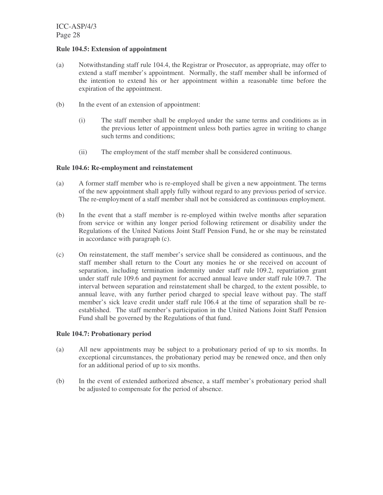## **Rule 104.5: Extension of appointment**

- (a) Notwithstanding staff rule 104.4, the Registrar or Prosecutor, as appropriate, may offer to extend a staff member's appointment. Normally, the staff member shall be informed of the intention to extend his or her appointment within a reasonable time before the expiration of the appointment.
- (b) In the event of an extension of appointment:
	- (i) The staff member shall be employed under the same terms and conditions as in the previous letter of appointment unless both parties agree in writing to change such terms and conditions;
	- (ii) The employment of the staff member shall be considered continuous.

# **Rule 104.6: Re-employment and reinstatement**

- (a) A former staff member who is re-employed shall be given a new appointment. The terms of the new appointment shall apply fully without regard to any previous period of service. The re-employment of a staff member shall not be considered as continuous employment.
- (b) In the event that a staff member is re-employed within twelve months after separation from service or within any longer period following retirement or disability under the Regulations of the United Nations Joint Staff Pension Fund, he or she may be reinstated in accordance with paragraph (c).
- (c) On reinstatement, the staff member's service shall be considered as continuous, and the staff member shall return to the Court any monies he or she received on account of separation, including termination indemnity under staff rule 109.2, repatriation grant under staff rule 109.6 and payment for accrued annual leave under staff rule 109.7. The interval between separation and reinstatement shall be charged, to the extent possible, to annual leave, with any further period charged to special leave without pay. The staff member's sick leave credit under staff rule 106.4 at the time of separation shall be reestablished. The staff member's participation in the United Nations Joint Staff Pension Fund shall be governed by the Regulations of that fund.

# **Rule 104.7: Probationary period**

- (a) All new appointments may be subject to a probationary period of up to six months. In exceptional circumstances, the probationary period may be renewed once, and then only for an additional period of up to six months.
- (b) In the event of extended authorized absence, a staff member's probationary period shall be adjusted to compensate for the period of absence.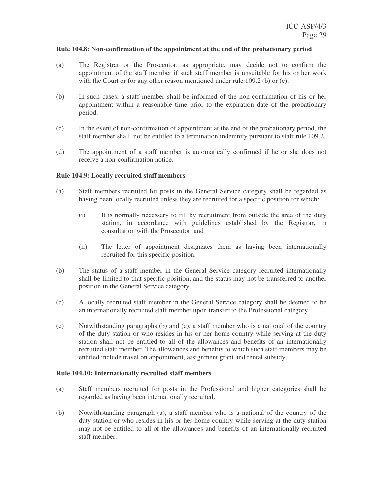#### **Rule 104.8: Non-confirmation of the appointment at the end of the probationary period**

- (a) The Registrar or the Prosecutor, as appropriate, may decide not to confirm the appointment of the staff member if such staff member is unsuitable for his or her work with the Court or for any other reason mentioned under rule 109.2 (b) or (c).
- (b) In such cases, a staff member shall be informed of the non-confirmation of his or her appointment within a reasonable time prior to the expiration date of the probationary period.
- (c) In the event of non-confirmation of appointment at the end of the probationary period, the staff member shall not be entitled to a termination indemnity pursuant to staff rule 109.2.
- (d) The appointment of a staff member is automatically confirmed if he or she does not receive a non-confirmation notice.

#### **Rule 104.9: Locally recruited staff members**

- (a) Staff members recruited for posts in the General Service category shall be regarded as having been locally recruited unless they are recruited for a specific position for which:
	- (i) It is normally necessary to fill by recruitment from outside the area of the duty station, in accordance with guidelines established by the Registrar, in consultation with the Prosecutor; and
	- (ii) The letter of appointment designates them as having been internationally recruited for this specific position.
- (b) The status of a staff member in the General Service category recruited internationally shall be limited to that specific position, and the status may not be transferred to another position in the General Service category.
- (c) A locally recruited staff member in the General Service category shall be deemed to be an internationally recruited staff member upon transfer to the Professional category.
- (c) Notwithstanding paragraphs (b) and (c), a staff member who is a national of the country of the duty station or who resides in his or her home country while serving at the duty station shall not be entitled to all of the allowances and benefits of an internationally recruited staff member. The allowances and benefits to which such staff members may be entitled include travel on appointment, assignment grant and rental subsidy.

#### **Rule 104.10: Internationally recruited staff members**

- (a) Staff members recruited for posts in the Professional and higher categories shall be regarded as having been internationally recruited.
- (b) Notwithstanding paragraph (a), a staff member who is a national of the country of the duty station or who resides in his or her home country while serving at the duty station may not be entitled to all of the allowances and benefits of an internationally recruited staff member.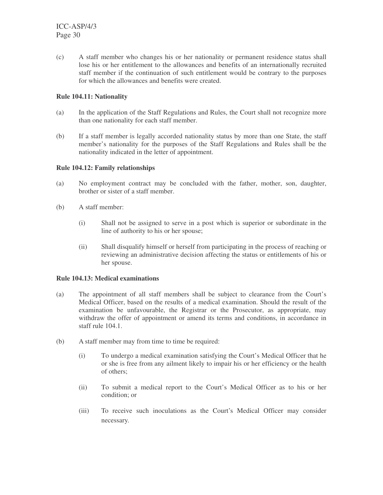(c) A staff member who changes his or her nationality or permanent residence status shall lose his or her entitlement to the allowances and benefits of an internationally recruited staff member if the continuation of such entitlement would be contrary to the purposes for which the allowances and benefits were created.

# **Rule 104.11: Nationality**

- (a) In the application of the Staff Regulations and Rules, the Court shall not recognize more than one nationality for each staff member.
- (b) If a staff member is legally accorded nationality status by more than one State, the staff member's nationality for the purposes of the Staff Regulations and Rules shall be the nationality indicated in the letter of appointment.

# **Rule 104.12: Family relationships**

- (a) No employment contract may be concluded with the father, mother, son, daughter, brother or sister of a staff member.
- (b) A staff member:
	- (i) Shall not be assigned to serve in a post which is superior or subordinate in the line of authority to his or her spouse;
	- (ii) Shall disqualify himself or herself from participating in the process of reaching or reviewing an administrative decision affecting the status or entitlements of his or her spouse.

# **Rule 104.13: Medical examinations**

- (a) The appointment of all staff members shall be subject to clearance from the Court's Medical Officer, based on the results of a medical examination. Should the result of the examination be unfavourable, the Registrar or the Prosecutor, as appropriate, may withdraw the offer of appointment or amend its terms and conditions, in accordance in staff rule 104.1.
- (b) A staff member may from time to time be required:
	- (i) To undergo a medical examination satisfying the Court's Medical Officer that he or she is free from any ailment likely to impair his or her efficiency or the health of others;
	- (ii) To submit a medical report to the Court's Medical Officer as to his or her condition; or
	- (iii) To receive such inoculations as the Court's Medical Officer may consider necessary.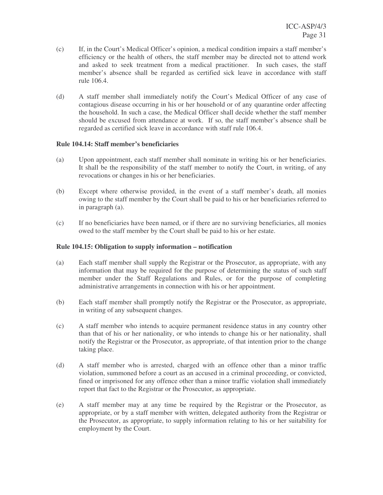- (c) If, in the Court's Medical Officer's opinion, a medical condition impairs a staff member's efficiency or the health of others, the staff member may be directed not to attend work and asked to seek treatment from a medical practitioner. In such cases, the staff member's absence shall be regarded as certified sick leave in accordance with staff rule 106.4.
- (d) A staff member shall immediately notify the Court's Medical Officer of any case of contagious disease occurring in his or her household or of any quarantine order affecting the household. In such a case, the Medical Officer shall decide whether the staff member should be excused from attendance at work. If so, the staff member's absence shall be regarded as certified sick leave in accordance with staff rule 106.4.

# **Rule 104.14: Staff member's beneficiaries**

- (a) Upon appointment, each staff member shall nominate in writing his or her beneficiaries. It shall be the responsibility of the staff member to notify the Court, in writing, of any revocations or changes in his or her beneficiaries.
- (b) Except where otherwise provided, in the event of a staff member's death, all monies owing to the staff member by the Court shall be paid to his or her beneficiaries referred to in paragraph (a).
- (c) If no beneficiaries have been named, or if there are no surviving beneficiaries, all monies owed to the staff member by the Court shall be paid to his or her estate.

#### **Rule 104.15: Obligation to supply information – notification**

- (a) Each staff member shall supply the Registrar or the Prosecutor, as appropriate, with any information that may be required for the purpose of determining the status of such staff member under the Staff Regulations and Rules, or for the purpose of completing administrative arrangements in connection with his or her appointment.
- (b) Each staff member shall promptly notify the Registrar or the Prosecutor, as appropriate, in writing of any subsequent changes.
- (c) A staff member who intends to acquire permanent residence status in any country other than that of his or her nationality, or who intends to change his or her nationality, shall notify the Registrar or the Prosecutor, as appropriate, of that intention prior to the change taking place.
- (d) A staff member who is arrested, charged with an offence other than a minor traffic violation, summoned before a court as an accused in a criminal proceeding, or convicted, fined or imprisoned for any offence other than a minor traffic violation shall immediately report that fact to the Registrar or the Prosecutor, as appropriate.
- (e) A staff member may at any time be required by the Registrar or the Prosecutor, as appropriate, or by a staff member with written, delegated authority from the Registrar or the Prosecutor, as appropriate, to supply information relating to his or her suitability for employment by the Court.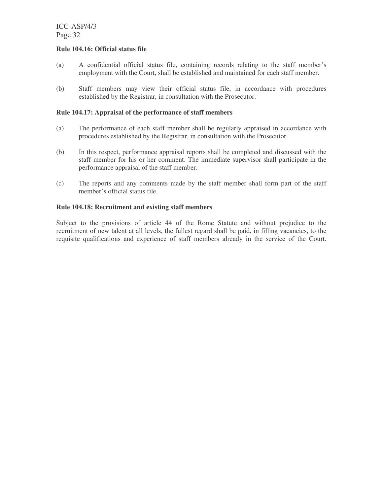#### **Rule 104.16: Official status file**

- (a) A confidential official status file, containing records relating to the staff member's employment with the Court, shall be established and maintained for each staff member.
- (b) Staff members may view their official status file, in accordance with procedures established by the Registrar, in consultation with the Prosecutor.

#### **Rule 104.17: Appraisal of the performance of staff members**

- (a) The performance of each staff member shall be regularly appraised in accordance with procedures established by the Registrar, in consultation with the Prosecutor.
- (b) In this respect, performance appraisal reports shall be completed and discussed with the staff member for his or her comment. The immediate supervisor shall participate in the performance appraisal of the staff member.
- (c) The reports and any comments made by the staff member shall form part of the staff member's official status file.

#### **Rule 104.18: Recruitment and existing staff members**

Subject to the provisions of article 44 of the Rome Statute and without prejudice to the recruitment of new talent at all levels, the fullest regard shall be paid, in filling vacancies, to the requisite qualifications and experience of staff members already in the service of the Court.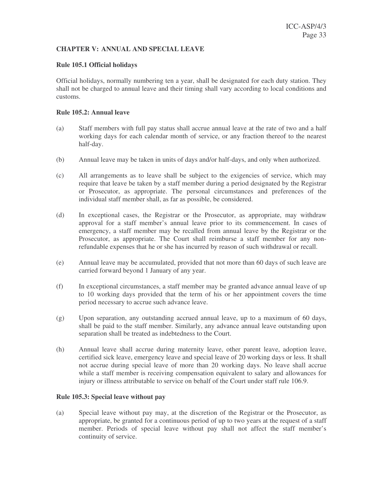# **CHAPTER V: ANNUAL AND SPECIAL LEAVE**

#### **Rule 105.1 Official holidays**

Official holidays, normally numbering ten a year, shall be designated for each duty station. They shall not be charged to annual leave and their timing shall vary according to local conditions and customs.

#### **Rule 105.2: Annual leave**

- (a) Staff members with full pay status shall accrue annual leave at the rate of two and a half working days for each calendar month of service, or any fraction thereof to the nearest half-day.
- (b) Annual leave may be taken in units of days and/or half-days, and only when authorized.
- (c) All arrangements as to leave shall be subject to the exigencies of service, which may require that leave be taken by a staff member during a period designated by the Registrar or Prosecutor, as appropriate. The personal circumstances and preferences of the individual staff member shall, as far as possible, be considered.
- (d) In exceptional cases, the Registrar or the Prosecutor, as appropriate, may withdraw approval for a staff member's annual leave prior to its commencement. In cases of emergency, a staff member may be recalled from annual leave by the Registrar or the Prosecutor, as appropriate. The Court shall reimburse a staff member for any nonrefundable expenses that he or she has incurred by reason of such withdrawal or recall.
- (e) Annual leave may be accumulated, provided that not more than 60 days of such leave are carried forward beyond 1 January of any year.
- (f) In exceptional circumstances, a staff member may be granted advance annual leave of up to 10 working days provided that the term of his or her appointment covers the time period necessary to accrue such advance leave.
- (g) Upon separation, any outstanding accrued annual leave, up to a maximum of 60 days, shall be paid to the staff member. Similarly, any advance annual leave outstanding upon separation shall be treated as indebtedness to the Court.
- (h) Annual leave shall accrue during maternity leave, other parent leave, adoption leave, certified sick leave, emergency leave and special leave of 20 working days or less. It shall not accrue during special leave of more than 20 working days. No leave shall accrue while a staff member is receiving compensation equivalent to salary and allowances for injury or illness attributable to service on behalf of the Court under staff rule 106.9.

# **Rule 105.3: Special leave without pay**

(a) Special leave without pay may, at the discretion of the Registrar or the Prosecutor, as appropriate, be granted for a continuous period of up to two years at the request of a staff member. Periods of special leave without pay shall not affect the staff member's continuity of service.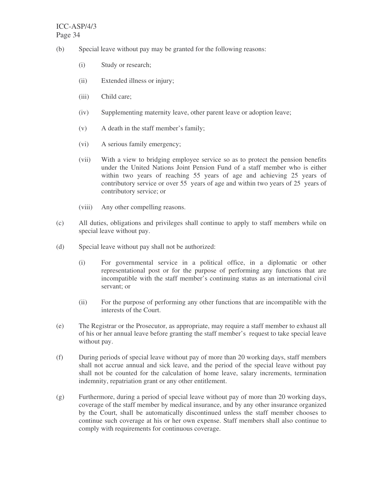- (b) Special leave without pay may be granted for the following reasons:
	- (i) Study or research;
	- (ii) Extended illness or injury;
	- (iii) Child care;
	- (iv) Supplementing maternity leave, other parent leave or adoption leave;
	- (v) A death in the staff member's family;
	- (vi) A serious family emergency;
	- (vii) With a view to bridging employee service so as to protect the pension benefits under the United Nations Joint Pension Fund of a staff member who is either within two years of reaching 55 years of age and achieving 25 years of contributory service or over 55 years of age and within two years of 25 years of contributory service; or
	- (viii) Any other compelling reasons.
- (c) All duties, obligations and privileges shall continue to apply to staff members while on special leave without pay.
- (d) Special leave without pay shall not be authorized:
	- (i) For governmental service in a political office, in a diplomatic or other representational post or for the purpose of performing any functions that are incompatible with the staff member's continuing status as an international civil servant; or
	- (ii) For the purpose of performing any other functions that are incompatible with the interests of the Court.
- (e) The Registrar or the Prosecutor, as appropriate, may require a staff member to exhaust all of his or her annual leave before granting the staff member's request to take special leave without pay.
- (f) During periods of special leave without pay of more than 20 working days, staff members shall not accrue annual and sick leave, and the period of the special leave without pay shall not be counted for the calculation of home leave, salary increments, termination indemnity, repatriation grant or any other entitlement.
- (g) Furthermore, during a period of special leave without pay of more than 20 working days, coverage of the staff member by medical insurance, and by any other insurance organized by the Court, shall be automatically discontinued unless the staff member chooses to continue such coverage at his or her own expense. Staff members shall also continue to comply with requirements for continuous coverage.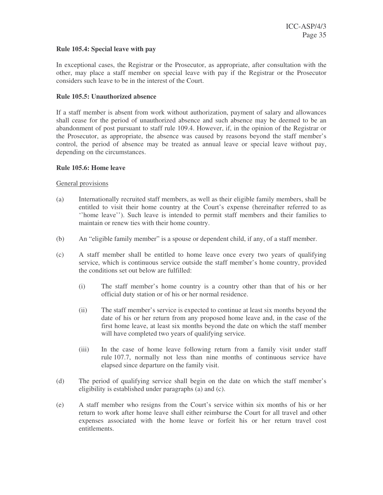#### **Rule 105.4: Special leave with pay**

In exceptional cases, the Registrar or the Prosecutor, as appropriate, after consultation with the other, may place a staff member on special leave with pay if the Registrar or the Prosecutor considers such leave to be in the interest of the Court.

## **Rule 105.5: Unauthorized absence**

If a staff member is absent from work without authorization, payment of salary and allowances shall cease for the period of unauthorized absence and such absence may be deemed to be an abandonment of post pursuant to staff rule 109.4. However, if, in the opinion of the Registrar or the Prosecutor, as appropriate, the absence was caused by reasons beyond the staff member's control, the period of absence may be treated as annual leave or special leave without pay, depending on the circumstances.

#### **Rule 105.6: Home leave**

#### General provisions

- (a) Internationally recruited staff members, as well as their eligible family members, shall be entitled to visit their home country at the Court's expense (hereinafter referred to as ''home leave''). Such leave is intended to permit staff members and their families to maintain or renew ties with their home country.
- (b) An "eligible family member" is a spouse or dependent child, if any, of a staff member.
- (c) A staff member shall be entitled to home leave once every two years of qualifying service, which is continuous service outside the staff member's home country, provided the conditions set out below are fulfilled:
	- (i) The staff member's home country is a country other than that of his or her official duty station or of his or her normal residence.
	- (ii) The staff member's service is expected to continue at least six months beyond the date of his or her return from any proposed home leave and, in the case of the first home leave, at least six months beyond the date on which the staff member will have completed two years of qualifying service.
	- (iii) In the case of home leave following return from a family visit under staff rule 107.7, normally not less than nine months of continuous service have elapsed since departure on the family visit.
- (d) The period of qualifying service shall begin on the date on which the staff member's eligibility is established under paragraphs (a) and (c).
- (e) A staff member who resigns from the Court's service within six months of his or her return to work after home leave shall either reimburse the Court for all travel and other expenses associated with the home leave or forfeit his or her return travel cost entitlements.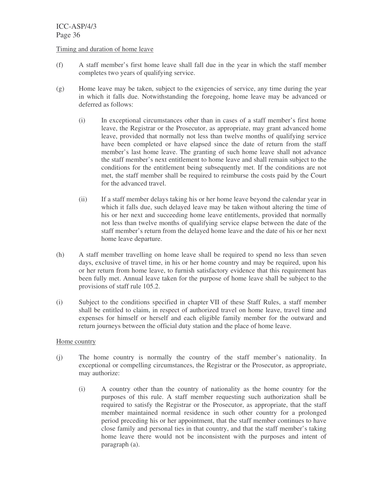# Timing and duration of home leave

- (f) A staff member's first home leave shall fall due in the year in which the staff member completes two years of qualifying service.
- (g) Home leave may be taken, subject to the exigencies of service, any time during the year in which it falls due. Notwithstanding the foregoing, home leave may be advanced or deferred as follows:
	- (i) In exceptional circumstances other than in cases of a staff member's first home leave, the Registrar or the Prosecutor, as appropriate, may grant advanced home leave, provided that normally not less than twelve months of qualifying service have been completed or have elapsed since the date of return from the staff member's last home leave. The granting of such home leave shall not advance the staff member's next entitlement to home leave and shall remain subject to the conditions for the entitlement being subsequently met. If the conditions are not met, the staff member shall be required to reimburse the costs paid by the Court for the advanced travel.
	- (ii) If a staff member delays taking his or her home leave beyond the calendar year in which it falls due, such delayed leave may be taken without altering the time of his or her next and succeeding home leave entitlements, provided that normally not less than twelve months of qualifying service elapse between the date of the staff member's return from the delayed home leave and the date of his or her next home leave departure.
- (h) A staff member travelling on home leave shall be required to spend no less than seven days, exclusive of travel time, in his or her home country and may be required, upon his or her return from home leave, to furnish satisfactory evidence that this requirement has been fully met. Annual leave taken for the purpose of home leave shall be subject to the provisions of staff rule 105.2.
- (i) Subject to the conditions specified in chapter VII of these Staff Rules, a staff member shall be entitled to claim, in respect of authorized travel on home leave, travel time and expenses for himself or herself and each eligible family member for the outward and return journeys between the official duty station and the place of home leave.

# Home country

- (j) The home country is normally the country of the staff member's nationality. In exceptional or compelling circumstances, the Registrar or the Prosecutor, as appropriate, may authorize:
	- (i) A country other than the country of nationality as the home country for the purposes of this rule. A staff member requesting such authorization shall be required to satisfy the Registrar or the Prosecutor, as appropriate, that the staff member maintained normal residence in such other country for a prolonged period preceding his or her appointment, that the staff member continues to have close family and personal ties in that country, and that the staff member's taking home leave there would not be inconsistent with the purposes and intent of paragraph (a).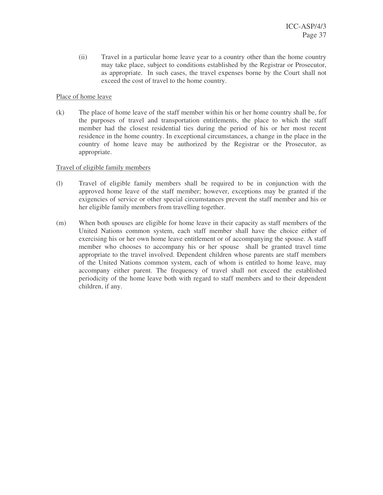(ii) Travel in a particular home leave year to a country other than the home country may take place, subject to conditions established by the Registrar or Prosecutor, as appropriate. In such cases, the travel expenses borne by the Court shall not exceed the cost of travel to the home country.

### Place of home leave

(k) The place of home leave of the staff member within his or her home country shall be, for the purposes of travel and transportation entitlements, the place to which the staff member had the closest residential ties during the period of his or her most recent residence in the home country. In exceptional circumstances, a change in the place in the country of home leave may be authorized by the Registrar or the Prosecutor, as appropriate.

### Travel of eligible family members

- (l) Travel of eligible family members shall be required to be in conjunction with the approved home leave of the staff member; however, exceptions may be granted if the exigencies of service or other special circumstances prevent the staff member and his or her eligible family members from travelling together.
- (m) When both spouses are eligible for home leave in their capacity as staff members of the United Nations common system, each staff member shall have the choice either of exercising his or her own home leave entitlement or of accompanying the spouse. A staff member who chooses to accompany his or her spouse shall be granted travel time appropriate to the travel involved. Dependent children whose parents are staff members of the United Nations common system, each of whom is entitled to home leave, may accompany either parent. The frequency of travel shall not exceed the established periodicity of the home leave both with regard to staff members and to their dependent children, if any.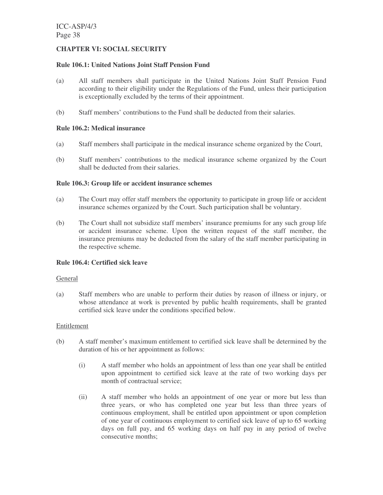# **CHAPTER VI: SOCIAL SECURITY**

### **Rule 106.1: United Nations Joint Staff Pension Fund**

- (a) All staff members shall participate in the United Nations Joint Staff Pension Fund according to their eligibility under the Regulations of the Fund, unless their participation is exceptionally excluded by the terms of their appointment.
- (b) Staff members' contributions to the Fund shall be deducted from their salaries.

### **Rule 106.2: Medical insurance**

- (a) Staff members shall participate in the medical insurance scheme organized by the Court,
- (b) Staff members' contributions to the medical insurance scheme organized by the Court shall be deducted from their salaries.

### **Rule 106.3: Group life or accident insurance schemes**

- (a) The Court may offer staff members the opportunity to participate in group life or accident insurance schemes organized by the Court. Such participation shall be voluntary.
- (b) The Court shall not subsidize staff members' insurance premiums for any such group life or accident insurance scheme. Upon the written request of the staff member, the insurance premiums may be deducted from the salary of the staff member participating in the respective scheme.

# **Rule 106.4: Certified sick leave**

#### General

(a) Staff members who are unable to perform their duties by reason of illness or injury, or whose attendance at work is prevented by public health requirements, shall be granted certified sick leave under the conditions specified below.

#### Entitlement

- (b) A staff member's maximum entitlement to certified sick leave shall be determined by the duration of his or her appointment as follows:
	- (i) A staff member who holds an appointment of less than one year shall be entitled upon appointment to certified sick leave at the rate of two working days per month of contractual service;
	- (ii) A staff member who holds an appointment of one year or more but less than three years, or who has completed one year but less than three years of continuous employment, shall be entitled upon appointment or upon completion of one year of continuous employment to certified sick leave of up to 65 working days on full pay, and 65 working days on half pay in any period of twelve consecutive months;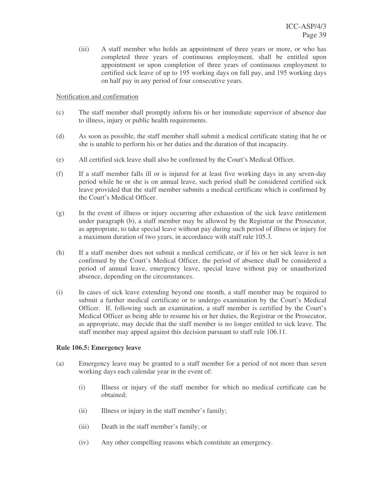(iii) A staff member who holds an appointment of three years or more, or who has completed three years of continuous employment, shall be entitled upon appointment or upon completion of three years of continuous employment to certified sick leave of up to 195 working days on full pay, and 195 working days on half pay in any period of four consecutive years.

### Notification and confirmation

- (c) The staff member shall promptly inform his or her immediate supervisor of absence due to illness, injury or public health requirements.
- (d) As soon as possible, the staff member shall submit a medical certificate stating that he or she is unable to perform his or her duties and the duration of that incapacity.
- (e) All certified sick leave shall also be confirmed by the Court's Medical Officer.
- (f) If a staff member falls ill or is injured for at least five working days in any seven-day period while he or she is on annual leave, such period shall be considered certified sick leave provided that the staff member submits a medical certificate which is confirmed by the Court's Medical Officer.
- (g) In the event of illness or injury occurring after exhaustion of the sick leave entitlement under paragraph (b), a staff member may be allowed by the Registrar or the Prosecutor, as appropriate, to take special leave without pay during such period of illness or injury for a maximum duration of two years, in accordance with staff rule 105.3.
- (h) If a staff member does not submit a medical certificate, or if his or her sick leave is not confirmed by the Court's Medical Officer, the period of absence shall be considered a period of annual leave, emergency leave, special leave without pay or unauthorized absence, depending on the circumstances.
- (i) In cases of sick leave extending beyond one month, a staff member may be required to submit a further medical certificate or to undergo examination by the Court's Medical Officer. If, following such an examination, a staff member is certified by the Court's Medical Officer as being able to resume his or her duties, the Registrar or the Prosecutor, as appropriate, may decide that the staff member is no longer entitled to sick leave. The staff member may appeal against this decision pursuant to staff rule 106.11.

# **Rule 106.5: Emergency leave**

- (a) Emergency leave may be granted to a staff member for a period of not more than seven working days each calendar year in the event of:
	- (i) Illness or injury of the staff member for which no medical certificate can be obtained;
	- (ii) Illness or injury in the staff member's family;
	- (iii) Death in the staff member's family; or
	- (iv) Any other compelling reasons which constitute an emergency.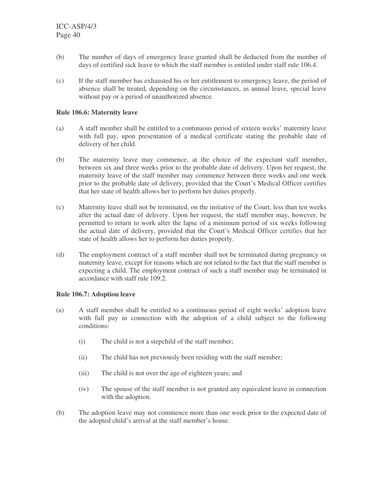- (b) The number of days of emergency leave granted shall be deducted from the number of days of certified sick leave to which the staff member is entitled under staff rule 106.4.
- (c) If the staff member has exhausted his or her entitlement to emergency leave, the period of absence shall be treated, depending on the circumstances, as annual leave, special leave without pay or a period of unauthorized absence.

### **Rule 106.6: Maternity leave**

- (a) A staff member shall be entitled to a continuous period of sixteen weeks' maternity leave with full pay, upon presentation of a medical certificate stating the probable date of delivery of her child.
- (b) The maternity leave may commence, at the choice of the expectant staff member, between six and three weeks prior to the probable date of delivery. Upon her request, the maternity leave of the staff member may commence between three weeks and one week prior to the probable date of delivery, provided that the Court's Medical Officer certifies that her state of health allows her to perform her duties properly.
- (c) Maternity leave shall not be terminated, on the initiative of the Court, less than ten weeks after the actual date of delivery. Upon her request, the staff member may, however, be permitted to return to work after the lapse of a minimum period of six weeks following the actual date of delivery, provided that the Court's Medical Officer certifies that her state of health allows her to perform her duties properly.
- (d) The employment contract of a staff member shall not be terminated during pregnancy or maternity leave, except for reasons which are not related to the fact that the staff member is expecting a child. The employment contract of such a staff member may be terminated in accordance with staff rule 109.2.

# **Rule 106.7: Adoption leave**

- (a) A staff member shall be entitled to a continuous period of eight weeks' adoption leave with full pay in connection with the adoption of a child subject to the following conditions:
	- (i) The child is not a stepchild of the staff member;
	- (ii) The child has not previously been residing with the staff member;
	- (iii) The child is not over the age of eighteen years; and
	- (iv) The spouse of the staff member is not granted any equivalent leave in connection with the adoption.
- (b) The adoption leave may not commence more than one week prior to the expected date of the adopted child's arrival at the staff member's home.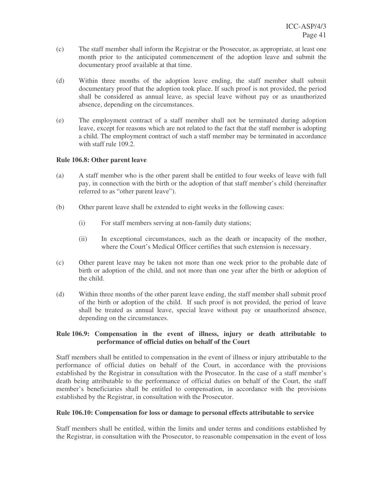- (c) The staff member shall inform the Registrar or the Prosecutor, as appropriate, at least one month prior to the anticipated commencement of the adoption leave and submit the documentary proof available at that time.
- (d) Within three months of the adoption leave ending, the staff member shall submit documentary proof that the adoption took place. If such proof is not provided, the period shall be considered as annual leave, as special leave without pay or as unauthorized absence, depending on the circumstances.
- (e) The employment contract of a staff member shall not be terminated during adoption leave, except for reasons which are not related to the fact that the staff member is adopting a child. The employment contract of such a staff member may be terminated in accordance with staff rule 109.2.

# **Rule 106.8: Other parent leave**

- (a) A staff member who is the other parent shall be entitled to four weeks of leave with full pay, in connection with the birth or the adoption of that staff member's child (hereinafter referred to as "other parent leave").
- (b) Other parent leave shall be extended to eight weeks in the following cases:
	- (i) For staff members serving at non-family duty stations;
	- (ii) In exceptional circumstances, such as the death or incapacity of the mother, where the Court's Medical Officer certifies that such extension is necessary.
- (c) Other parent leave may be taken not more than one week prior to the probable date of birth or adoption of the child, and not more than one year after the birth or adoption of the child.
- (d) Within three months of the other parent leave ending, the staff member shall submit proof of the birth or adoption of the child. If such proof is not provided, the period of leave shall be treated as annual leave, special leave without pay or unauthorized absence, depending on the circumstances.

# **Rule 106.9: Compensation in the event of illness, injury or death attributable to performance of official duties on behalf of the Court**

Staff members shall be entitled to compensation in the event of illness or injury attributable to the performance of official duties on behalf of the Court, in accordance with the provisions established by the Registrar in consultation with the Prosecutor. In the case of a staff member's death being attributable to the performance of official duties on behalf of the Court, the staff member's beneficiaries shall be entitled to compensation, in accordance with the provisions established by the Registrar, in consultation with the Prosecutor.

# **Rule 106.10: Compensation for loss or damage to personal effects attributable to service**

Staff members shall be entitled, within the limits and under terms and conditions established by the Registrar, in consultation with the Prosecutor, to reasonable compensation in the event of loss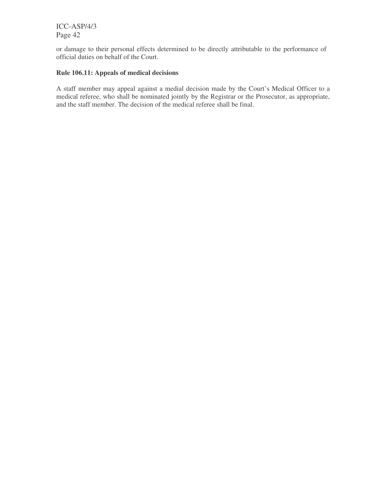or damage to their personal effects determined to be directly attributable to the performance of official duties on behalf of the Court.

# **Rule 106.11: Appeals of medical decisions**

A staff member may appeal against a medial decision made by the Court's Medical Officer to a medical referee, who shall be nominated jointly by the Registrar or the Prosecutor, as appropriate, and the staff member. The decision of the medical referee shall be final.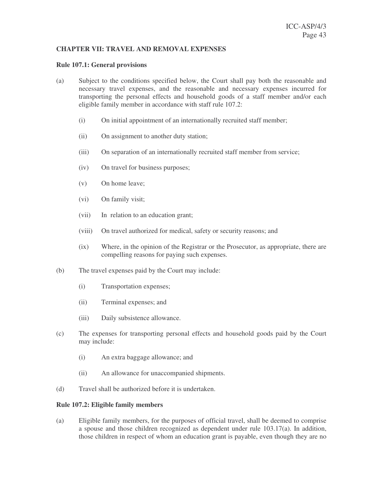### **CHAPTER VII: TRAVEL AND REMOVAL EXPENSES**

#### **Rule 107.1: General provisions**

- (a) Subject to the conditions specified below, the Court shall pay both the reasonable and necessary travel expenses, and the reasonable and necessary expenses incurred for transporting the personal effects and household goods of a staff member and/or each eligible family member in accordance with staff rule 107.2:
	- (i) On initial appointment of an internationally recruited staff member;
	- (ii) On assignment to another duty station;
	- (iii) On separation of an internationally recruited staff member from service;
	- (iv) On travel for business purposes;
	- (v) On home leave;
	- (vi) On family visit;
	- (vii) In relation to an education grant;
	- (viii) On travel authorized for medical, safety or security reasons; and
	- (ix) Where, in the opinion of the Registrar or the Prosecutor, as appropriate, there are compelling reasons for paying such expenses.
- (b) The travel expenses paid by the Court may include:
	- (i) Transportation expenses;
	- (ii) Terminal expenses; and
	- (iii) Daily subsistence allowance.
- (c) The expenses for transporting personal effects and household goods paid by the Court may include:
	- (i) An extra baggage allowance; and
	- (ii) An allowance for unaccompanied shipments.
- (d) Travel shall be authorized before it is undertaken.

#### **Rule 107.2: Eligible family members**

(a) Eligible family members, for the purposes of official travel, shall be deemed to comprise a spouse and those children recognized as dependent under rule 103.17(a). In addition, those children in respect of whom an education grant is payable, even though they are no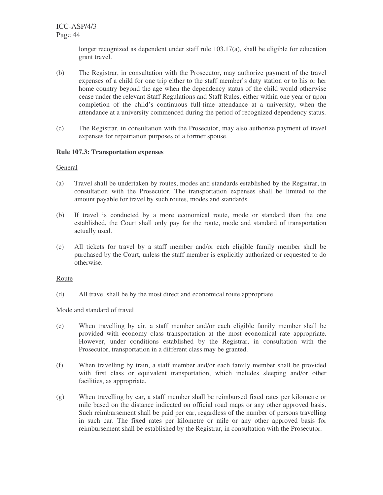longer recognized as dependent under staff rule 103.17(a), shall be eligible for education grant travel.

- (b) The Registrar, in consultation with the Prosecutor, may authorize payment of the travel expenses of a child for one trip either to the staff member's duty station or to his or her home country beyond the age when the dependency status of the child would otherwise cease under the relevant Staff Regulations and Staff Rules, either within one year or upon completion of the child's continuous full-time attendance at a university, when the attendance at a university commenced during the period of recognized dependency status.
- (c) The Registrar, in consultation with the Prosecutor, may also authorize payment of travel expenses for repatriation purposes of a former spouse.

# **Rule 107.3: Transportation expenses**

### **General**

- (a) Travel shall be undertaken by routes, modes and standards established by the Registrar, in consultation with the Prosecutor. The transportation expenses shall be limited to the amount payable for travel by such routes, modes and standards.
- (b) If travel is conducted by a more economical route, mode or standard than the one established, the Court shall only pay for the route, mode and standard of transportation actually used.
- (c) All tickets for travel by a staff member and/or each eligible family member shall be purchased by the Court, unless the staff member is explicitly authorized or requested to do otherwise.

# **Route**

(d) All travel shall be by the most direct and economical route appropriate.

# Mode and standard of travel

- (e) When travelling by air, a staff member and/or each eligible family member shall be provided with economy class transportation at the most economical rate appropriate. However, under conditions established by the Registrar, in consultation with the Prosecutor, transportation in a different class may be granted.
- (f) When travelling by train, a staff member and/or each family member shall be provided with first class or equivalent transportation, which includes sleeping and/or other facilities, as appropriate.
- (g) When travelling by car, a staff member shall be reimbursed fixed rates per kilometre or mile based on the distance indicated on official road maps or any other approved basis. Such reimbursement shall be paid per car, regardless of the number of persons travelling in such car. The fixed rates per kilometre or mile or any other approved basis for reimbursement shall be established by the Registrar, in consultation with the Prosecutor.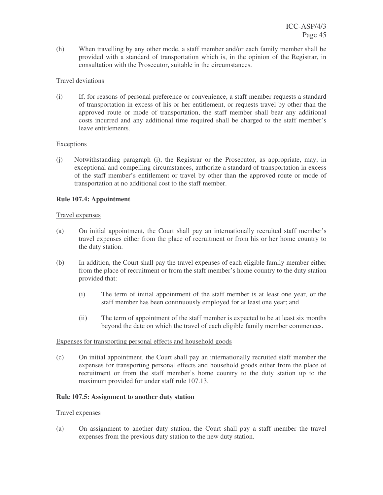(h) When travelling by any other mode, a staff member and/or each family member shall be provided with a standard of transportation which is, in the opinion of the Registrar, in consultation with the Prosecutor, suitable in the circumstances.

# Travel deviations

(i) If, for reasons of personal preference or convenience, a staff member requests a standard of transportation in excess of his or her entitlement, or requests travel by other than the approved route or mode of transportation, the staff member shall bear any additional costs incurred and any additional time required shall be charged to the staff member's leave entitlements.

# **Exceptions**

(j) Notwithstanding paragraph (i), the Registrar or the Prosecutor, as appropriate, may, in exceptional and compelling circumstances, authorize a standard of transportation in excess of the staff member's entitlement or travel by other than the approved route or mode of transportation at no additional cost to the staff member.

# **Rule 107.4: Appointment**

# Travel expenses

- (a) On initial appointment, the Court shall pay an internationally recruited staff member's travel expenses either from the place of recruitment or from his or her home country to the duty station.
- (b) In addition, the Court shall pay the travel expenses of each eligible family member either from the place of recruitment or from the staff member's home country to the duty station provided that:
	- (i) The term of initial appointment of the staff member is at least one year, or the staff member has been continuously employed for at least one year; and
	- (ii) The term of appointment of the staff member is expected to be at least six months beyond the date on which the travel of each eligible family member commences.

# Expenses for transporting personal effects and household goods

(c) On initial appointment, the Court shall pay an internationally recruited staff member the expenses for transporting personal effects and household goods either from the place of recruitment or from the staff member's home country to the duty station up to the maximum provided for under staff rule 107.13.

# **Rule 107.5: Assignment to another duty station**

# Travel expenses

(a) On assignment to another duty station, the Court shall pay a staff member the travel expenses from the previous duty station to the new duty station.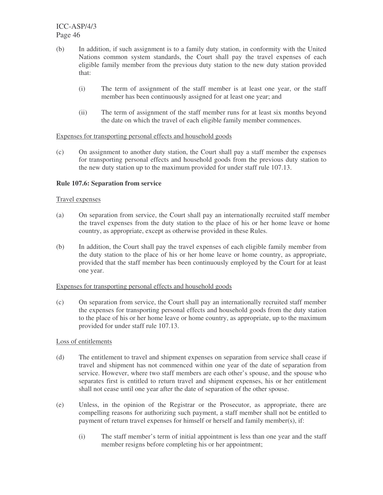- (b) In addition, if such assignment is to a family duty station, in conformity with the United Nations common system standards, the Court shall pay the travel expenses of each eligible family member from the previous duty station to the new duty station provided that:
	- (i) The term of assignment of the staff member is at least one year, or the staff member has been continuously assigned for at least one year; and
	- (ii) The term of assignment of the staff member runs for at least six months beyond the date on which the travel of each eligible family member commences.

### Expenses for transporting personal effects and household goods

(c) On assignment to another duty station, the Court shall pay a staff member the expenses for transporting personal effects and household goods from the previous duty station to the new duty station up to the maximum provided for under staff rule 107.13.

# **Rule 107.6: Separation from service**

### Travel expenses

- (a) On separation from service, the Court shall pay an internationally recruited staff member the travel expenses from the duty station to the place of his or her home leave or home country, as appropriate, except as otherwise provided in these Rules.
- (b) In addition, the Court shall pay the travel expenses of each eligible family member from the duty station to the place of his or her home leave or home country, as appropriate, provided that the staff member has been continuously employed by the Court for at least one year.

### Expenses for transporting personal effects and household goods

(c) On separation from service, the Court shall pay an internationally recruited staff member the expenses for transporting personal effects and household goods from the duty station to the place of his or her home leave or home country, as appropriate, up to the maximum provided for under staff rule 107.13.

#### Loss of entitlements

- (d) The entitlement to travel and shipment expenses on separation from service shall cease if travel and shipment has not commenced within one year of the date of separation from service. However, where two staff members are each other's spouse, and the spouse who separates first is entitled to return travel and shipment expenses, his or her entitlement shall not cease until one year after the date of separation of the other spouse.
- (e) Unless, in the opinion of the Registrar or the Prosecutor, as appropriate, there are compelling reasons for authorizing such payment, a staff member shall not be entitled to payment of return travel expenses for himself or herself and family member(s), if:
	- (i) The staff member's term of initial appointment is less than one year and the staff member resigns before completing his or her appointment;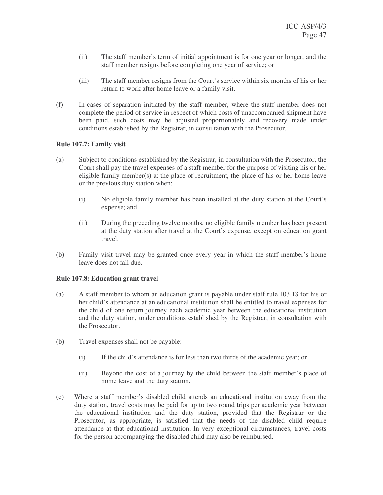- (ii) The staff member's term of initial appointment is for one year or longer, and the staff member resigns before completing one year of service; or
- (iii) The staff member resigns from the Court's service within six months of his or her return to work after home leave or a family visit.
- (f) In cases of separation initiated by the staff member, where the staff member does not complete the period of service in respect of which costs of unaccompanied shipment have been paid, such costs may be adjusted proportionately and recovery made under conditions established by the Registrar, in consultation with the Prosecutor.

# **Rule 107.7: Family visit**

- (a) Subject to conditions established by the Registrar, in consultation with the Prosecutor, the Court shall pay the travel expenses of a staff member for the purpose of visiting his or her eligible family member(s) at the place of recruitment, the place of his or her home leave or the previous duty station when:
	- (i) No eligible family member has been installed at the duty station at the Court's expense; and
	- (ii) During the preceding twelve months, no eligible family member has been present at the duty station after travel at the Court's expense, except on education grant travel.
- (b) Family visit travel may be granted once every year in which the staff member's home leave does not fall due.

# **Rule 107.8: Education grant travel**

- (a) A staff member to whom an education grant is payable under staff rule 103.18 for his or her child's attendance at an educational institution shall be entitled to travel expenses for the child of one return journey each academic year between the educational institution and the duty station, under conditions established by the Registrar, in consultation with the Prosecutor.
- (b) Travel expenses shall not be payable:
	- (i) If the child's attendance is for less than two thirds of the academic year; or
	- (ii) Beyond the cost of a journey by the child between the staff member's place of home leave and the duty station.
- (c) Where a staff member's disabled child attends an educational institution away from the duty station, travel costs may be paid for up to two round trips per academic year between the educational institution and the duty station, provided that the Registrar or the Prosecutor, as appropriate, is satisfied that the needs of the disabled child require attendance at that educational institution. In very exceptional circumstances, travel costs for the person accompanying the disabled child may also be reimbursed.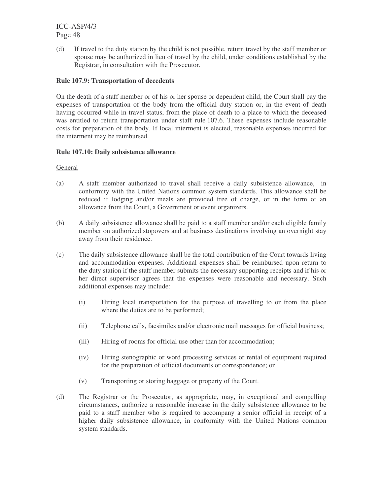(d) If travel to the duty station by the child is not possible, return travel by the staff member or spouse may be authorized in lieu of travel by the child, under conditions established by the Registrar, in consultation with the Prosecutor.

# **Rule 107.9: Transportation of decedents**

On the death of a staff member or of his or her spouse or dependent child, the Court shall pay the expenses of transportation of the body from the official duty station or, in the event of death having occurred while in travel status, from the place of death to a place to which the deceased was entitled to return transportation under staff rule 107.6. These expenses include reasonable costs for preparation of the body. If local interment is elected, reasonable expenses incurred for the interment may be reimbursed.

# **Rule 107.10: Daily subsistence allowance**

### **General**

- (a) A staff member authorized to travel shall receive a daily subsistence allowance, in conformity with the United Nations common system standards. This allowance shall be reduced if lodging and/or meals are provided free of charge, or in the form of an allowance from the Court, a Government or event organizers.
- (b) A daily subsistence allowance shall be paid to a staff member and/or each eligible family member on authorized stopovers and at business destinations involving an overnight stay away from their residence.
- (c) The daily subsistence allowance shall be the total contribution of the Court towards living and accommodation expenses. Additional expenses shall be reimbursed upon return to the duty station if the staff member submits the necessary supporting receipts and if his or her direct supervisor agrees that the expenses were reasonable and necessary. Such additional expenses may include:
	- (i) Hiring local transportation for the purpose of travelling to or from the place where the duties are to be performed;
	- (ii) Telephone calls, facsimiles and/or electronic mail messages for official business;
	- (iii) Hiring of rooms for official use other than for accommodation;
	- (iv) Hiring stenographic or word processing services or rental of equipment required for the preparation of official documents or correspondence; or
	- (v) Transporting or storing baggage or property of the Court.
- (d) The Registrar or the Prosecutor, as appropriate, may, in exceptional and compelling circumstances, authorize a reasonable increase in the daily subsistence allowance to be paid to a staff member who is required to accompany a senior official in receipt of a higher daily subsistence allowance, in conformity with the United Nations common system standards.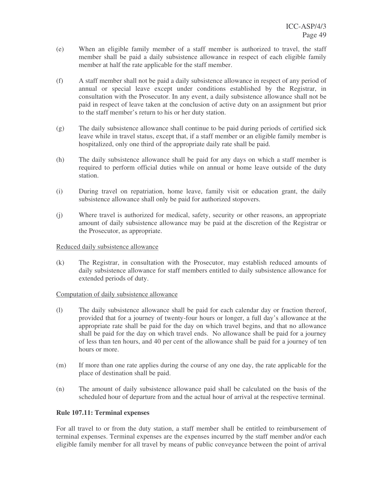- (e) When an eligible family member of a staff member is authorized to travel, the staff member shall be paid a daily subsistence allowance in respect of each eligible family member at half the rate applicable for the staff member.
- (f) A staff member shall not be paid a daily subsistence allowance in respect of any period of annual or special leave except under conditions established by the Registrar, in consultation with the Prosecutor. In any event, a daily subsistence allowance shall not be paid in respect of leave taken at the conclusion of active duty on an assignment but prior to the staff member's return to his or her duty station.
- (g) The daily subsistence allowance shall continue to be paid during periods of certified sick leave while in travel status, except that, if a staff member or an eligible family member is hospitalized, only one third of the appropriate daily rate shall be paid.
- (h) The daily subsistence allowance shall be paid for any days on which a staff member is required to perform official duties while on annual or home leave outside of the duty station.
- (i) During travel on repatriation, home leave, family visit or education grant, the daily subsistence allowance shall only be paid for authorized stopovers.
- (j) Where travel is authorized for medical, safety, security or other reasons, an appropriate amount of daily subsistence allowance may be paid at the discretion of the Registrar or the Prosecutor, as appropriate.

### Reduced daily subsistence allowance

(k) The Registrar, in consultation with the Prosecutor, may establish reduced amounts of daily subsistence allowance for staff members entitled to daily subsistence allowance for extended periods of duty.

# Computation of daily subsistence allowance

- (l) The daily subsistence allowance shall be paid for each calendar day or fraction thereof, provided that for a journey of twenty-four hours or longer, a full day's allowance at the appropriate rate shall be paid for the day on which travel begins, and that no allowance shall be paid for the day on which travel ends. No allowance shall be paid for a journey of less than ten hours, and 40 per cent of the allowance shall be paid for a journey of ten hours or more.
- (m) If more than one rate applies during the course of any one day, the rate applicable for the place of destination shall be paid.
- (n) The amount of daily subsistence allowance paid shall be calculated on the basis of the scheduled hour of departure from and the actual hour of arrival at the respective terminal.

# **Rule 107.11: Terminal expenses**

For all travel to or from the duty station, a staff member shall be entitled to reimbursement of terminal expenses. Terminal expenses are the expenses incurred by the staff member and/or each eligible family member for all travel by means of public conveyance between the point of arrival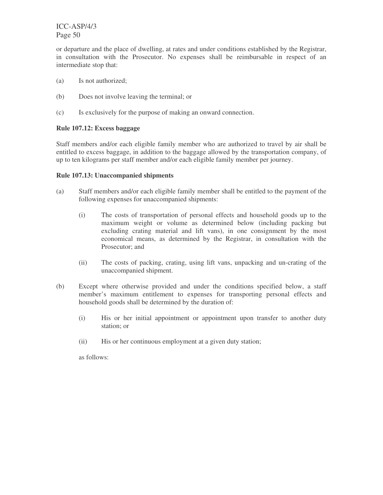or departure and the place of dwelling, at rates and under conditions established by the Registrar, in consultation with the Prosecutor. No expenses shall be reimbursable in respect of an intermediate stop that:

- (a) Is not authorized;
- (b) Does not involve leaving the terminal; or
- (c) Is exclusively for the purpose of making an onward connection.

# **Rule 107.12: Excess baggage**

Staff members and/or each eligible family member who are authorized to travel by air shall be entitled to excess baggage, in addition to the baggage allowed by the transportation company, of up to ten kilograms per staff member and/or each eligible family member per journey.

# **Rule 107.13: Unaccompanied shipments**

- (a) Staff members and/or each eligible family member shall be entitled to the payment of the following expenses for unaccompanied shipments:
	- (i) The costs of transportation of personal effects and household goods up to the maximum weight or volume as determined below (including packing but excluding crating material and lift vans), in one consignment by the most economical means, as determined by the Registrar, in consultation with the Prosecutor; and
	- (ii) The costs of packing, crating, using lift vans, unpacking and un-crating of the unaccompanied shipment.
- (b) Except where otherwise provided and under the conditions specified below, a staff member's maximum entitlement to expenses for transporting personal effects and household goods shall be determined by the duration of:
	- (i) His or her initial appointment or appointment upon transfer to another duty station; or
	- (ii) His or her continuous employment at a given duty station;

as follows: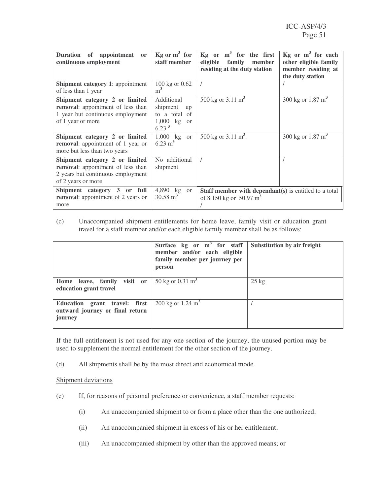| Duration of appointment<br><b>or</b><br>continuous employment                                                                  | $Kg$ or $m^3$ for<br>staff member                                                                 | $Kg$ or $m^3$ for the first<br>eligible<br>family<br>member<br>residing at the duty station  | $Kg$ or $m^3$ for each<br>other eligible family<br>member residing at<br>the duty station |
|--------------------------------------------------------------------------------------------------------------------------------|---------------------------------------------------------------------------------------------------|----------------------------------------------------------------------------------------------|-------------------------------------------------------------------------------------------|
| <b>Shipment category 1:</b> appointment<br>of less than 1 year                                                                 | 100 kg or 0.62<br>m <sup>3</sup>                                                                  |                                                                                              |                                                                                           |
| Shipment category 2 or limited<br>removal: appointment of less than<br>1 year but continuous employment<br>of 1 year or more   | Additional<br>shipment<br>up<br>to a total of<br>$1,000$ kg<br><sub>or</sub><br>6.23 <sup>3</sup> | 500 kg or $3.11 \text{ m}^3$                                                                 | 300 kg or $1.87 \text{ m}^3$                                                              |
| Shipment category 2 or limited<br>removal: appointment of 1 year or<br>more but less than two years                            | $1,000$ kg or<br>$6.23 \text{ m}^3$                                                               | 500 kg or $3.11 \text{ m}^3$ .                                                               | 300 kg or $1.87 \text{ m}^3$                                                              |
| Shipment category 2 or limited<br>removal: appointment of less than<br>2 years but continuous employment<br>of 2 years or more | No additional<br>shipment                                                                         |                                                                                              |                                                                                           |
| Shipment category 3 or full<br>removal: appointment of 2 years or<br>more                                                      | 4,890 kg<br>or<br>$30.58 \text{ m}^3$                                                             | Staff member with dependant(s) is entitled to a total<br>of 8,150 kg or 50.97 m <sup>3</sup> |                                                                                           |

(c) Unaccompanied shipment entitlements for home leave, family visit or education grant travel for a staff member and/or each eligible family member shall be as follows:

|                                                                             | Surface $kg$ or $m^3$ for staff<br>member and/or each eligible<br>family member per journey per<br>person | Substitution by air freight |
|-----------------------------------------------------------------------------|-----------------------------------------------------------------------------------------------------------|-----------------------------|
| Home leave, family visit or<br>education grant travel                       | 50 kg or $0.31 \text{ m}^3$                                                                               | $25 \text{ kg}$             |
| Education grant travel: first<br>outward journey or final return<br>journey | 200 kg or $1.24 \text{ m}^3$                                                                              |                             |

If the full entitlement is not used for any one section of the journey, the unused portion may be used to supplement the normal entitlement for the other section of the journey.

(d) All shipments shall be by the most direct and economical mode.

# Shipment deviations

- (e) If, for reasons of personal preference or convenience, a staff member requests:
	- (i) An unaccompanied shipment to or from a place other than the one authorized;
	- (ii) An unaccompanied shipment in excess of his or her entitlement;
	- (iii) An unaccompanied shipment by other than the approved means; or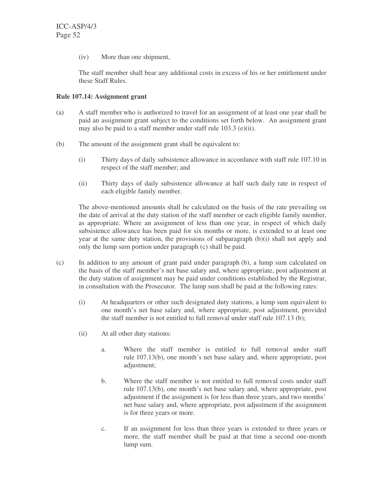(iv) More than one shipment,

The staff member shall bear any additional costs in excess of his or her entitlement under these Staff Rules.

# **Rule 107.14: Assignment grant**

- (a) A staff member who is authorized to travel for an assignment of at least one year shall be paid an assignment grant subject to the conditions set forth below. An assignment grant may also be paid to a staff member under staff rule 103.3 (e)(ii).
- (b) The amount of the assignment grant shall be equivalent to:
	- (i) Thirty days of daily subsistence allowance in accordance with staff rule 107.10 in respect of the staff member; and
	- (ii) Thirty days of daily subsistence allowance at half such daily rate in respect of each eligible family member.

The above-mentioned amounts shall be calculated on the basis of the rate prevailing on the date of arrival at the duty station of the staff member or each eligible family member, as appropriate. Where an assignment of less than one year, in respect of which daily subsistence allowance has been paid for six months or more, is extended to at least one year at the same duty station, the provisions of subparagraph  $(b)(i)$  shall not apply and only the lump sum portion under paragraph (c) shall be paid.

- (c) In addition to any amount of grant paid under paragraph (b), a lump sum calculated on the basis of the staff member's net base salary and, where appropriate, post adjustment at the duty station of assignment may be paid under conditions established by the Registrar, in consultation with the Prosecutor. The lump sum shall be paid at the following rates:
	- (i) At headquarters or other such designated duty stations, a lump sum equivalent to one month's net base salary and, where appropriate, post adjustment, provided the staff member is not entitled to full removal under staff rule 107.13 (b);
	- (ii) At all other duty stations:
		- a. Where the staff member is entitled to full removal under staff rule 107.13(b), one month's net base salary and, where appropriate, post adjustment;
		- b. Where the staff member is not entitled to full removal costs under staff rule 107.13(b), one month's net base salary and, where appropriate, post adjustment if the assignment is for less than three years, and two months' net base salary and, where appropriate, post adjustment if the assignment is for three years or more.
		- c. If an assignment for less than three years is extended to three years or more, the staff member shall be paid at that time a second one-month lump sum.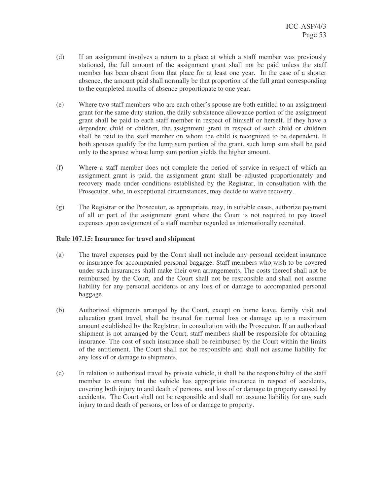- (d) If an assignment involves a return to a place at which a staff member was previously stationed, the full amount of the assignment grant shall not be paid unless the staff member has been absent from that place for at least one year. In the case of a shorter absence, the amount paid shall normally be that proportion of the full grant corresponding to the completed months of absence proportionate to one year.
- (e) Where two staff members who are each other's spouse are both entitled to an assignment grant for the same duty station, the daily subsistence allowance portion of the assignment grant shall be paid to each staff member in respect of himself or herself. If they have a dependent child or children, the assignment grant in respect of such child or children shall be paid to the staff member on whom the child is recognized to be dependent. If both spouses qualify for the lump sum portion of the grant, such lump sum shall be paid only to the spouse whose lump sum portion yields the higher amount.
- (f) Where a staff member does not complete the period of service in respect of which an assignment grant is paid, the assignment grant shall be adjusted proportionately and recovery made under conditions established by the Registrar, in consultation with the Prosecutor, who, in exceptional circumstances, may decide to waive recovery.
- (g) The Registrar or the Prosecutor, as appropriate, may, in suitable cases, authorize payment of all or part of the assignment grant where the Court is not required to pay travel expenses upon assignment of a staff member regarded as internationally recruited.

# **Rule 107.15: Insurance for travel and shipment**

- (a) The travel expenses paid by the Court shall not include any personal accident insurance or insurance for accompanied personal baggage. Staff members who wish to be covered under such insurances shall make their own arrangements. The costs thereof shall not be reimbursed by the Court, and the Court shall not be responsible and shall not assume liability for any personal accidents or any loss of or damage to accompanied personal baggage.
- (b) Authorized shipments arranged by the Court, except on home leave, family visit and education grant travel, shall be insured for normal loss or damage up to a maximum amount established by the Registrar, in consultation with the Prosecutor. If an authorized shipment is not arranged by the Court, staff members shall be responsible for obtaining insurance. The cost of such insurance shall be reimbursed by the Court within the limits of the entitlement. The Court shall not be responsible and shall not assume liability for any loss of or damage to shipments.
- (c) In relation to authorized travel by private vehicle, it shall be the responsibility of the staff member to ensure that the vehicle has appropriate insurance in respect of accidents, covering both injury to and death of persons, and loss of or damage to property caused by accidents. The Court shall not be responsible and shall not assume liability for any such injury to and death of persons, or loss of or damage to property.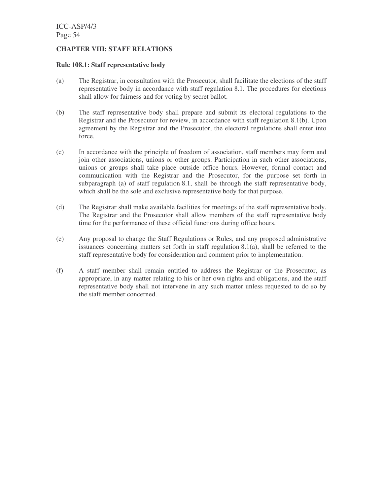### **CHAPTER VIII: STAFF RELATIONS**

#### **Rule 108.1: Staff representative body**

- (a) The Registrar, in consultation with the Prosecutor, shall facilitate the elections of the staff representative body in accordance with staff regulation 8.1. The procedures for elections shall allow for fairness and for voting by secret ballot.
- (b) The staff representative body shall prepare and submit its electoral regulations to the Registrar and the Prosecutor for review, in accordance with staff regulation 8.1(b). Upon agreement by the Registrar and the Prosecutor, the electoral regulations shall enter into force.
- (c) In accordance with the principle of freedom of association, staff members may form and join other associations, unions or other groups. Participation in such other associations, unions or groups shall take place outside office hours. However, formal contact and communication with the Registrar and the Prosecutor, for the purpose set forth in subparagraph (a) of staff regulation 8.1, shall be through the staff representative body, which shall be the sole and exclusive representative body for that purpose.
- (d) The Registrar shall make available facilities for meetings of the staff representative body. The Registrar and the Prosecutor shall allow members of the staff representative body time for the performance of these official functions during office hours.
- (e) Any proposal to change the Staff Regulations or Rules, and any proposed administrative issuances concerning matters set forth in staff regulation 8.1(a), shall be referred to the staff representative body for consideration and comment prior to implementation.
- (f) A staff member shall remain entitled to address the Registrar or the Prosecutor, as appropriate, in any matter relating to his or her own rights and obligations, and the staff representative body shall not intervene in any such matter unless requested to do so by the staff member concerned.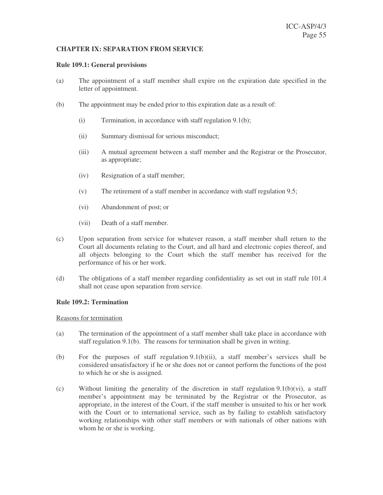# **CHAPTER IX: SEPARATION FROM SERVICE**

#### **Rule 109.1: General provisions**

- (a) The appointment of a staff member shall expire on the expiration date specified in the letter of appointment.
- (b) The appointment may be ended prior to this expiration date as a result of:
	- (i) Termination, in accordance with staff regulation 9.1(b);
	- (ii) Summary dismissal for serious misconduct;
	- (iii) A mutual agreement between a staff member and the Registrar or the Prosecutor, as appropriate;
	- (iv) Resignation of a staff member;
	- (v) The retirement of a staff member in accordance with staff regulation 9.5;
	- (vi) Abandonment of post; or
	- (vii) Death of a staff member.
- (c) Upon separation from service for whatever reason, a staff member shall return to the Court all documents relating to the Court, and all hard and electronic copies thereof, and all objects belonging to the Court which the staff member has received for the performance of his or her work.
- (d) The obligations of a staff member regarding confidentiality as set out in staff rule 101.4 shall not cease upon separation from service.

#### **Rule 109.2: Termination**

#### Reasons for termination

- (a) The termination of the appointment of a staff member shall take place in accordance with staff regulation 9.1(b). The reasons for termination shall be given in writing.
- (b) For the purposes of staff regulation 9.1(b)(ii), a staff member's services shall be considered unsatisfactory if he or she does not or cannot perform the functions of the post to which he or she is assigned.
- (c) Without limiting the generality of the discretion in staff regulation 9.1(b)(vi), a staff member's appointment may be terminated by the Registrar or the Prosecutor, as appropriate, in the interest of the Court, if the staff member is unsuited to his or her work with the Court or to international service, such as by failing to establish satisfactory working relationships with other staff members or with nationals of other nations with whom he or she is working.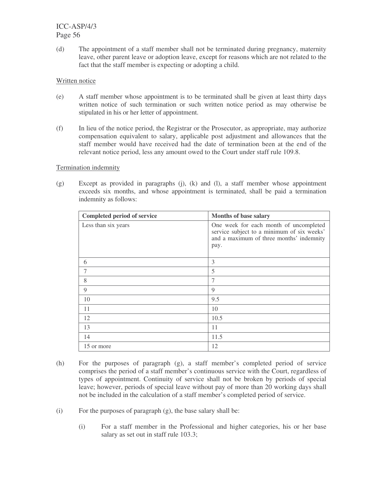(d) The appointment of a staff member shall not be terminated during pregnancy, maternity leave, other parent leave or adoption leave, except for reasons which are not related to the fact that the staff member is expecting or adopting a child.

# Written notice

- (e) A staff member whose appointment is to be terminated shall be given at least thirty days written notice of such termination or such written notice period as may otherwise be stipulated in his or her letter of appointment.
- (f) In lieu of the notice period, the Registrar or the Prosecutor, as appropriate, may authorize compensation equivalent to salary, applicable post adjustment and allowances that the staff member would have received had the date of termination been at the end of the relevant notice period, less any amount owed to the Court under staff rule 109.8.

# Termination indemnity

(g) Except as provided in paragraphs (j), (k) and (l), a staff member whose appointment exceeds six months, and whose appointment is terminated, shall be paid a termination indemnity as follows:

| <b>Completed period of service</b> | Months of base salary                                                                                                                    |
|------------------------------------|------------------------------------------------------------------------------------------------------------------------------------------|
| Less than six years                | One week for each month of uncompleted<br>service subject to a minimum of six weeks'<br>and a maximum of three months' indemnity<br>pay. |
| 6                                  | 3                                                                                                                                        |
|                                    | 5                                                                                                                                        |
| 8                                  | 7                                                                                                                                        |
| 9                                  | 9                                                                                                                                        |
| 10                                 | 9.5                                                                                                                                      |
| 11                                 | 10                                                                                                                                       |
| 12                                 | 10.5                                                                                                                                     |
| 13                                 | 11                                                                                                                                       |
| 14                                 | 11.5                                                                                                                                     |
| 15 or more                         | 12                                                                                                                                       |

- (h) For the purposes of paragraph (g), a staff member's completed period of service comprises the period of a staff member's continuous service with the Court, regardless of types of appointment. Continuity of service shall not be broken by periods of special leave; however, periods of special leave without pay of more than 20 working days shall not be included in the calculation of a staff member's completed period of service.
- (i) For the purposes of paragraph  $(g)$ , the base salary shall be:
	- (i) For a staff member in the Professional and higher categories, his or her base salary as set out in staff rule 103.3;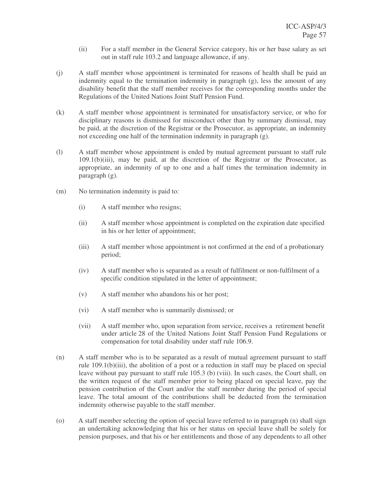- (ii) For a staff member in the General Service category, his or her base salary as set out in staff rule 103.2 and language allowance, if any.
- (j) A staff member whose appointment is terminated for reasons of health shall be paid an indemnity equal to the termination indemnity in paragraph (g), less the amount of any disability benefit that the staff member receives for the corresponding months under the Regulations of the United Nations Joint Staff Pension Fund.
- (k) A staff member whose appointment is terminated for unsatisfactory service, or who for disciplinary reasons is dismissed for misconduct other than by summary dismissal, may be paid, at the discretion of the Registrar or the Prosecutor, as appropriate, an indemnity not exceeding one half of the termination indemnity in paragraph (g).
- (l) A staff member whose appointment is ended by mutual agreement pursuant to staff rule 109.1(b)(iii), may be paid, at the discretion of the Registrar or the Prosecutor, as appropriate, an indemnity of up to one and a half times the termination indemnity in paragraph (g).
- (m) No termination indemnity is paid to:
	- (i) A staff member who resigns;
	- (ii) A staff member whose appointment is completed on the expiration date specified in his or her letter of appointment;
	- (iii) A staff member whose appointment is not confirmed at the end of a probationary period;
	- (iv) A staff member who is separated as a result of fulfilment or non-fulfilment of a specific condition stipulated in the letter of appointment;
	- (v) A staff member who abandons his or her post;
	- (vi) A staff member who is summarily dismissed; or
	- (vii) A staff member who, upon separation from service, receives a retirement benefit under article 28 of the United Nations Joint Staff Pension Fund Regulations or compensation for total disability under staff rule 106.9.
- (n) A staff member who is to be separated as a result of mutual agreement pursuant to staff rule 109.1(b)(iii), the abolition of a post or a reduction in staff may be placed on special leave without pay pursuant to staff rule 105.3 (b) (viii). In such cases, the Court shall, on the written request of the staff member prior to being placed on special leave, pay the pension contribution of the Court and/or the staff member during the period of special leave. The total amount of the contributions shall be deducted from the termination indemnity otherwise payable to the staff member.
- (o) A staff member selecting the option of special leave referred to in paragraph (n) shall sign an undertaking acknowledging that his or her status on special leave shall be solely for pension purposes, and that his or her entitlements and those of any dependents to all other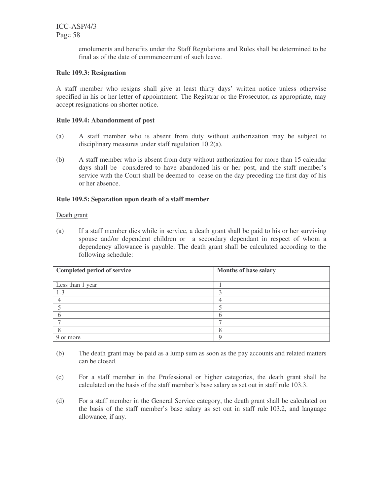> emoluments and benefits under the Staff Regulations and Rules shall be determined to be final as of the date of commencement of such leave.

### **Rule 109.3: Resignation**

A staff member who resigns shall give at least thirty days' written notice unless otherwise specified in his or her letter of appointment. The Registrar or the Prosecutor, as appropriate, may accept resignations on shorter notice.

### **Rule 109.4: Abandonment of post**

- (a) A staff member who is absent from duty without authorization may be subject to disciplinary measures under staff regulation 10.2(a).
- (b) A staff member who is absent from duty without authorization for more than 15 calendar days shall be considered to have abandoned his or her post, and the staff member's service with the Court shall be deemed to cease on the day preceding the first day of his or her absence.

### **Rule 109.5: Separation upon death of a staff member**

#### Death grant

(a) If a staff member dies while in service, a death grant shall be paid to his or her surviving spouse and/or dependent children or a secondary dependant in respect of whom a dependency allowance is payable. The death grant shall be calculated according to the following schedule:

| <b>Completed period of service</b> | Months of base salary |
|------------------------------------|-----------------------|
|                                    |                       |
| Less than 1 year                   |                       |
| $1 - 3$                            |                       |
|                                    |                       |
|                                    |                       |
|                                    |                       |
|                                    |                       |
|                                    |                       |
| 9 or more                          |                       |

- (b) The death grant may be paid as a lump sum as soon as the pay accounts and related matters can be closed.
- (c) For a staff member in the Professional or higher categories, the death grant shall be calculated on the basis of the staff member's base salary as set out in staff rule 103.3.
- (d) For a staff member in the General Service category, the death grant shall be calculated on the basis of the staff member's base salary as set out in staff rule 103.2, and language allowance, if any.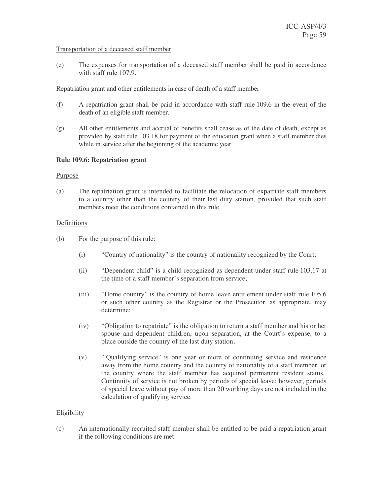#### Transportation of a deceased staff member

(e) The expenses for transportation of a deceased staff member shall be paid in accordance with staff rule 107.9.

### Repatriation grant and other entitlements in case of death of a staff member

- (f) A repatriation grant shall be paid in accordance with staff rule 109.6 in the event of the death of an eligible staff member.
- (g) All other entitlements and accrual of benefits shall cease as of the date of death, except as provided by staff rule 103.18 for payment of the education grant when a staff member dies while in service after the beginning of the academic year.

# **Rule 109.6: Repatriation grant**

### Purpose

(a) The repatriation grant is intended to facilitate the relocation of expatriate staff members to a country other than the country of their last duty station, provided that such staff members meet the conditions contained in this rule.

### Definitions

- (b) For the purpose of this rule:
	- (i) "Country of nationality" is the country of nationality recognized by the Court;
	- (ii) "Dependent child" is a child recognized as dependent under staff rule 103.17 at the time of a staff member's separation from service;
	- (iii) "Home country" is the country of home leave entitlement under staff rule 105.6 or such other country as the Registrar or the Prosecutor, as appropriate, may determine;
	- (iv) "Obligation to repatriate" is the obligation to return a staff member and his or her spouse and dependent children, upon separation, at the Court's expense, to a place outside the country of the last duty station;
	- (v) "Qualifying service" is one year or more of continuing service and residence away from the home country and the country of nationality of a staff member, or the country where the staff member has acquired permanent resident status. Continuity of service is not broken by periods of special leave; however, periods of special leave without pay of more than 20 working days are not included in the calculation of qualifying service.

# Eligibility

(c) An internationally recruited staff member shall be entitled to be paid a repatriation grant if the following conditions are met: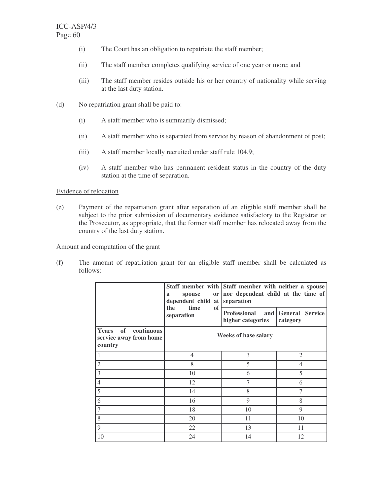- (i) The Court has an obligation to repatriate the staff member;
- (ii) The staff member completes qualifying service of one year or more; and
- (iii) The staff member resides outside his or her country of nationality while serving at the last duty station.
- (d) No repatriation grant shall be paid to:
	- (i) A staff member who is summarily dismissed;
	- (ii) A staff member who is separated from service by reason of abandonment of post;
	- (iii) A staff member locally recruited under staff rule 104.9;
	- (iv) A staff member who has permanent resident status in the country of the duty station at the time of separation.

# Evidence of relocation

(e) Payment of the repatriation grant after separation of an eligible staff member shall be subject to the prior submission of documentary evidence satisfactory to the Registrar or the Prosecutor, as appropriate, that the former staff member has relocated away from the country of the last duty station.

### Amount and computation of the grant

(f) The amount of repatriation grant for an eligible staff member shall be calculated as follows:

|                                                                           | spouse<br>or  <br>a<br>dependent child at<br>time<br>the<br>of | Staff member with Staff member with neither a spouse<br>nor dependent child at the time of<br>separation |                                 |
|---------------------------------------------------------------------------|----------------------------------------------------------------|----------------------------------------------------------------------------------------------------------|---------------------------------|
|                                                                           | separation                                                     | <b>Professional</b><br>higher categories                                                                 | and General Service<br>category |
| continuous<br><sub>of</sub><br>Years<br>service away from home<br>country |                                                                | <b>Weeks of base salary</b>                                                                              |                                 |
|                                                                           | $\overline{4}$                                                 | 3                                                                                                        | $\overline{2}$                  |
| $\overline{2}$                                                            | 8                                                              | 5                                                                                                        | 4                               |
| 3                                                                         | 10                                                             | 6                                                                                                        | 5                               |
| $\overline{4}$                                                            | 12                                                             | 7                                                                                                        | 6                               |
| 5                                                                         | 14                                                             | 8                                                                                                        | 7                               |
| 6                                                                         | 16                                                             | 9                                                                                                        | 8                               |
| 7                                                                         | 18                                                             | 10                                                                                                       | 9                               |
| 8                                                                         | 20                                                             | 11                                                                                                       | 10                              |
| 9                                                                         | 22                                                             | 13                                                                                                       | 11                              |
| 10                                                                        | 24                                                             | 14                                                                                                       | 12                              |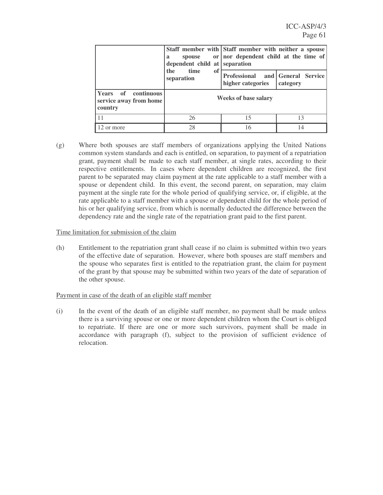|                                                                                             | spouse<br>a<br>dependent child at separation<br>time<br>the<br>of<br>separation | Staff member with Staff member with neither a spouse<br>or nor dependent child at the time of |                                 |
|---------------------------------------------------------------------------------------------|---------------------------------------------------------------------------------|-----------------------------------------------------------------------------------------------|---------------------------------|
|                                                                                             |                                                                                 | <b>Professional</b><br>higher categories                                                      | and General Service<br>category |
| <b>Years</b><br>$\overline{\textbf{of}}$<br>continuous<br>service away from home<br>country |                                                                                 | <b>Weeks of base salary</b>                                                                   |                                 |
|                                                                                             | 26                                                                              | 15                                                                                            | 13                              |
| 12 or more                                                                                  | 28                                                                              | 16                                                                                            | 14                              |

(g) Where both spouses are staff members of organizations applying the United Nations common system standards and each is entitled, on separation, to payment of a repatriation grant, payment shall be made to each staff member, at single rates, according to their respective entitlements. In cases where dependent children are recognized, the first parent to be separated may claim payment at the rate applicable to a staff member with a spouse or dependent child. In this event, the second parent, on separation, may claim payment at the single rate for the whole period of qualifying service, or, if eligible, at the rate applicable to a staff member with a spouse or dependent child for the whole period of his or her qualifying service, from which is normally deducted the difference between the dependency rate and the single rate of the repatriation grant paid to the first parent.

### Time limitation for submission of the claim

(h) Entitlement to the repatriation grant shall cease if no claim is submitted within two years of the effective date of separation. However, where both spouses are staff members and the spouse who separates first is entitled to the repatriation grant, the claim for payment of the grant by that spouse may be submitted within two years of the date of separation of the other spouse.

# Payment in case of the death of an eligible staff member

(i) In the event of the death of an eligible staff member, no payment shall be made unless there is a surviving spouse or one or more dependent children whom the Court is obliged to repatriate. If there are one or more such survivors, payment shall be made in accordance with paragraph (f), subject to the provision of sufficient evidence of relocation.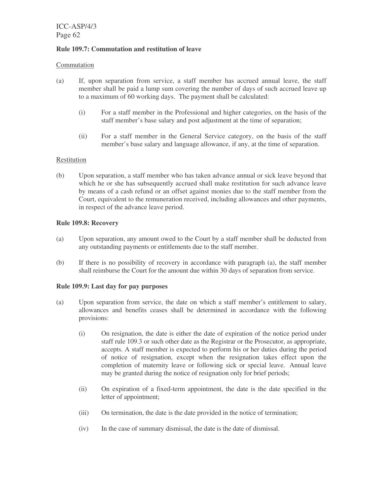### **Rule 109.7: Commutation and restitution of leave**

### Commutation

- (a) If, upon separation from service, a staff member has accrued annual leave, the staff member shall be paid a lump sum covering the number of days of such accrued leave up to a maximum of 60 working days. The payment shall be calculated:
	- (i) For a staff member in the Professional and higher categories, on the basis of the staff member's base salary and post adjustment at the time of separation;
	- (ii) For a staff member in the General Service category, on the basis of the staff member's base salary and language allowance, if any, at the time of separation.

# Restitution

(b) Upon separation, a staff member who has taken advance annual or sick leave beyond that which he or she has subsequently accrued shall make restitution for such advance leave by means of a cash refund or an offset against monies due to the staff member from the Court, equivalent to the remuneration received, including allowances and other payments, in respect of the advance leave period.

# **Rule 109.8: Recovery**

- (a) Upon separation, any amount owed to the Court by a staff member shall be deducted from any outstanding payments or entitlements due to the staff member.
- (b) If there is no possibility of recovery in accordance with paragraph (a), the staff member shall reimburse the Court for the amount due within 30 days of separation from service.

# **Rule 109.9: Last day for pay purposes**

- (a) Upon separation from service, the date on which a staff member's entitlement to salary, allowances and benefits ceases shall be determined in accordance with the following provisions:
	- (i) On resignation, the date is either the date of expiration of the notice period under staff rule 109.3 or such other date as the Registrar or the Prosecutor, as appropriate, accepts. A staff member is expected to perform his or her duties during the period of notice of resignation, except when the resignation takes effect upon the completion of maternity leave or following sick or special leave. Annual leave may be granted during the notice of resignation only for brief periods;
	- (ii) On expiration of a fixed-term appointment, the date is the date specified in the letter of appointment;
	- (iii) On termination, the date is the date provided in the notice of termination;
	- (iv) In the case of summary dismissal, the date is the date of dismissal.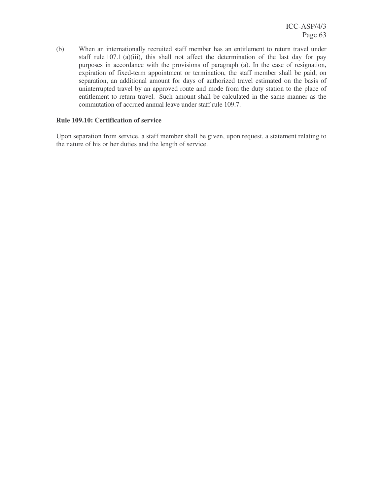(b) When an internationally recruited staff member has an entitlement to return travel under staff rule 107.1 (a)(iii), this shall not affect the determination of the last day for pay purposes in accordance with the provisions of paragraph (a). In the case of resignation, expiration of fixed-term appointment or termination, the staff member shall be paid, on separation, an additional amount for days of authorized travel estimated on the basis of uninterrupted travel by an approved route and mode from the duty station to the place of entitlement to return travel. Such amount shall be calculated in the same manner as the commutation of accrued annual leave under staff rule 109.7.

### **Rule 109.10: Certification of service**

Upon separation from service, a staff member shall be given, upon request, a statement relating to the nature of his or her duties and the length of service.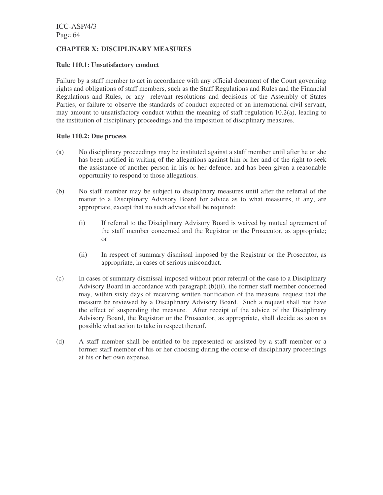# **CHAPTER X: DISCIPLINARY MEASURES**

### **Rule 110.1: Unsatisfactory conduct**

Failure by a staff member to act in accordance with any official document of the Court governing rights and obligations of staff members, such as the Staff Regulations and Rules and the Financial Regulations and Rules, or any relevant resolutions and decisions of the Assembly of States Parties, or failure to observe the standards of conduct expected of an international civil servant, may amount to unsatisfactory conduct within the meaning of staff regulation 10.2(a), leading to the institution of disciplinary proceedings and the imposition of disciplinary measures.

# **Rule 110.2: Due process**

- (a) No disciplinary proceedings may be instituted against a staff member until after he or she has been notified in writing of the allegations against him or her and of the right to seek the assistance of another person in his or her defence, and has been given a reasonable opportunity to respond to those allegations.
- (b) No staff member may be subject to disciplinary measures until after the referral of the matter to a Disciplinary Advisory Board for advice as to what measures, if any, are appropriate, except that no such advice shall be required:
	- (i) If referral to the Disciplinary Advisory Board is waived by mutual agreement of the staff member concerned and the Registrar or the Prosecutor, as appropriate; or
	- (ii) In respect of summary dismissal imposed by the Registrar or the Prosecutor, as appropriate, in cases of serious misconduct.
- (c) In cases of summary dismissal imposed without prior referral of the case to a Disciplinary Advisory Board in accordance with paragraph (b)(ii), the former staff member concerned may, within sixty days of receiving written notification of the measure, request that the measure be reviewed by a Disciplinary Advisory Board. Such a request shall not have the effect of suspending the measure. After receipt of the advice of the Disciplinary Advisory Board, the Registrar or the Prosecutor, as appropriate, shall decide as soon as possible what action to take in respect thereof.
- (d) A staff member shall be entitled to be represented or assisted by a staff member or a former staff member of his or her choosing during the course of disciplinary proceedings at his or her own expense.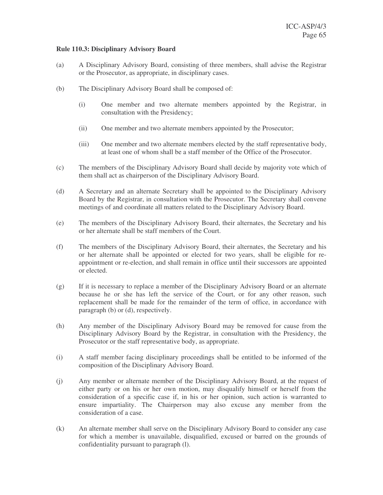### **Rule 110.3: Disciplinary Advisory Board**

- (a) A Disciplinary Advisory Board, consisting of three members, shall advise the Registrar or the Prosecutor, as appropriate, in disciplinary cases.
- (b) The Disciplinary Advisory Board shall be composed of:
	- (i) One member and two alternate members appointed by the Registrar, in consultation with the Presidency;
	- (ii) One member and two alternate members appointed by the Prosecutor;
	- (iii) One member and two alternate members elected by the staff representative body, at least one of whom shall be a staff member of the Office of the Prosecutor.
- (c) The members of the Disciplinary Advisory Board shall decide by majority vote which of them shall act as chairperson of the Disciplinary Advisory Board.
- (d) A Secretary and an alternate Secretary shall be appointed to the Disciplinary Advisory Board by the Registrar, in consultation with the Prosecutor. The Secretary shall convene meetings of and coordinate all matters related to the Disciplinary Advisory Board.
- (e) The members of the Disciplinary Advisory Board, their alternates, the Secretary and his or her alternate shall be staff members of the Court.
- (f) The members of the Disciplinary Advisory Board, their alternates, the Secretary and his or her alternate shall be appointed or elected for two years, shall be eligible for reappointment or re-election, and shall remain in office until their successors are appointed or elected.
- (g) If it is necessary to replace a member of the Disciplinary Advisory Board or an alternate because he or she has left the service of the Court, or for any other reason, such replacement shall be made for the remainder of the term of office, in accordance with paragraph (b) or (d), respectively.
- (h) Any member of the Disciplinary Advisory Board may be removed for cause from the Disciplinary Advisory Board by the Registrar, in consultation with the Presidency, the Prosecutor or the staff representative body, as appropriate.
- (i) A staff member facing disciplinary proceedings shall be entitled to be informed of the composition of the Disciplinary Advisory Board.
- (j) Any member or alternate member of the Disciplinary Advisory Board, at the request of either party or on his or her own motion, may disqualify himself or herself from the consideration of a specific case if, in his or her opinion, such action is warranted to ensure impartiality. The Chairperson may also excuse any member from the consideration of a case.
- (k) An alternate member shall serve on the Disciplinary Advisory Board to consider any case for which a member is unavailable, disqualified, excused or barred on the grounds of confidentiality pursuant to paragraph (l).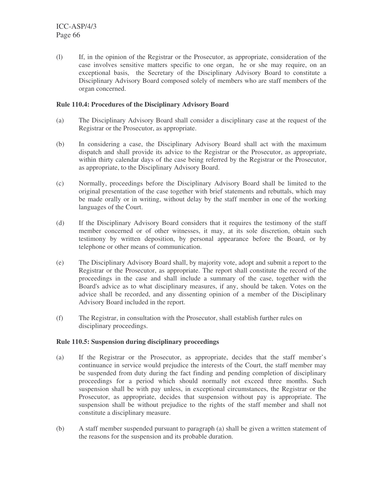(l) If, in the opinion of the Registrar or the Prosecutor, as appropriate, consideration of the case involves sensitive matters specific to one organ, he or she may require, on an exceptional basis, the Secretary of the Disciplinary Advisory Board to constitute a Disciplinary Advisory Board composed solely of members who are staff members of the organ concerned.

# **Rule 110.4: Procedures of the Disciplinary Advisory Board**

- (a) The Disciplinary Advisory Board shall consider a disciplinary case at the request of the Registrar or the Prosecutor, as appropriate.
- (b) In considering a case, the Disciplinary Advisory Board shall act with the maximum dispatch and shall provide its advice to the Registrar or the Prosecutor, as appropriate, within thirty calendar days of the case being referred by the Registrar or the Prosecutor, as appropriate, to the Disciplinary Advisory Board.
- (c) Normally, proceedings before the Disciplinary Advisory Board shall be limited to the original presentation of the case together with brief statements and rebuttals, which may be made orally or in writing, without delay by the staff member in one of the working languages of the Court.
- (d) If the Disciplinary Advisory Board considers that it requires the testimony of the staff member concerned or of other witnesses, it may, at its sole discretion, obtain such testimony by written deposition, by personal appearance before the Board, or by telephone or other means of communication.
- (e) The Disciplinary Advisory Board shall, by majority vote, adopt and submit a report to the Registrar or the Prosecutor, as appropriate. The report shall constitute the record of the proceedings in the case and shall include a summary of the case, together with the Board's advice as to what disciplinary measures, if any, should be taken. Votes on the advice shall be recorded, and any dissenting opinion of a member of the Disciplinary Advisory Board included in the report.
- (f) The Registrar, in consultation with the Prosecutor, shall establish further rules on disciplinary proceedings.

# **Rule 110.5: Suspension during disciplinary proceedings**

- (a) If the Registrar or the Prosecutor, as appropriate, decides that the staff member's continuance in service would prejudice the interests of the Court, the staff member may be suspended from duty during the fact finding and pending completion of disciplinary proceedings for a period which should normally not exceed three months. Such suspension shall be with pay unless, in exceptional circumstances, the Registrar or the Prosecutor, as appropriate, decides that suspension without pay is appropriate. The suspension shall be without prejudice to the rights of the staff member and shall not constitute a disciplinary measure.
- (b) A staff member suspended pursuant to paragraph (a) shall be given a written statement of the reasons for the suspension and its probable duration.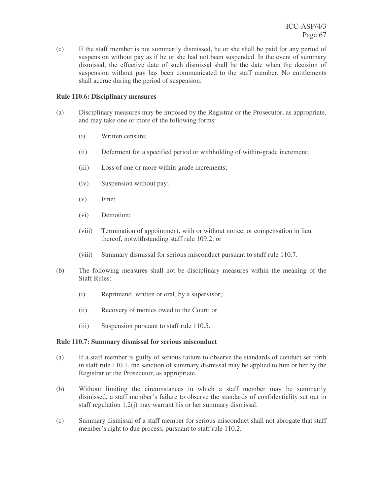(c) If the staff member is not summarily dismissed, he or she shall be paid for any period of suspension without pay as if he or she had not been suspended. In the event of summary dismissal, the effective date of such dismissal shall be the date when the decision of suspension without pay has been communicated to the staff member. No entitlements shall accrue during the period of suspension.

### **Rule 110.6: Disciplinary measures**

- (a) Disciplinary measures may be imposed by the Registrar or the Prosecutor, as appropriate, and may take one or more of the following forms:
	- (i) Written censure;
	- (ii) Deferment for a specified period or withholding of within-grade increment;
	- (iii) Loss of one or more within-grade increments;
	- (iv) Suspension without pay;
	- (v) Fine;
	- (vi) Demotion;
	- (viii) Termination of appointment, with or without notice, or compensation in lieu thereof, notwithstanding staff rule 109.2; or
	- (viii) Summary dismissal for serious misconduct pursuant to staff rule 110.7.
- (b) The following measures shall not be disciplinary measures within the meaning of the Staff Rules:
	- (i) Reprimand, written or oral, by a supervisor;
	- (ii) Recovery of monies owed to the Court; or
	- (iii) Suspension pursuant to staff rule 110.5.

#### **Rule 110.7: Summary dismissal for serious misconduct**

- (a) If a staff member is guilty of serious failure to observe the standards of conduct set forth in staff rule 110.1, the sanction of summary dismissal may be applied to him or her by the Registrar or the Prosecutor, as appropriate.
- (b) Without limiting the circumstances in which a staff member may be summarily dismissed, a staff member's failure to observe the standards of confidentiality set out in staff regulation 1.2(j) may warrant his or her summary dismissal.
- (c) Summary dismissal of a staff member for serious misconduct shall not abrogate that staff member's right to due process, pursuant to staff rule 110.2.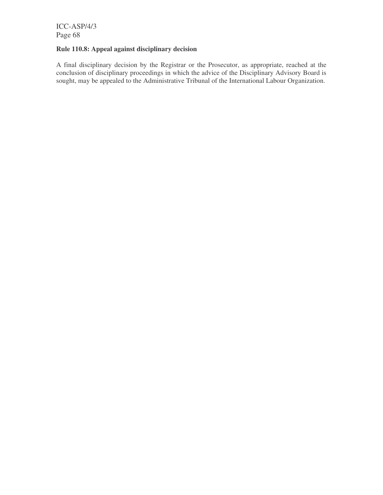# **Rule 110.8: Appeal against disciplinary decision**

A final disciplinary decision by the Registrar or the Prosecutor, as appropriate, reached at the conclusion of disciplinary proceedings in which the advice of the Disciplinary Advisory Board is sought, may be appealed to the Administrative Tribunal of the International Labour Organization.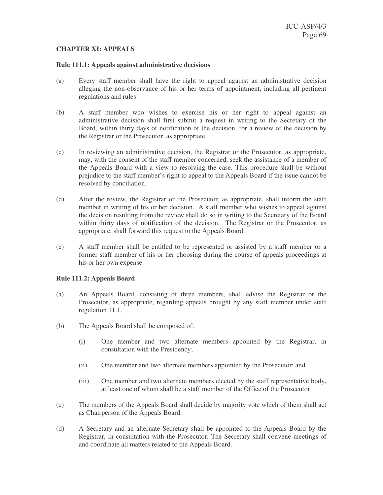### **CHAPTER XI: APPEALS**

#### **Rule 111.1: Appeals against administrative decisions**

- (a) Every staff member shall have the right to appeal against an administrative decision alleging the non-observance of his or her terms of appointment, including all pertinent regulations and rules.
- (b) A staff member who wishes to exercise his or her right to appeal against an administrative decision shall first submit a request in writing to the Secretary of the Board, within thirty days of notification of the decision, for a review of the decision by the Registrar or the Prosecutor, as appropriate.
- (c) In reviewing an administrative decision, the Registrar or the Prosecutor, as appropriate, may, with the consent of the staff member concerned, seek the assistance of a member of the Appeals Board with a view to resolving the case. This procedure shall be without prejudice to the staff member's right to appeal to the Appeals Board if the issue cannot be resolved by conciliation.
- (d) After the review, the Registrar or the Prosecutor, as appropriate, shall inform the staff member in writing of his or her decision. A staff member who wishes to appeal against the decision resulting from the review shall do so in writing to the Secretary of the Board within thirty days of notification of the decision. The Registrar or the Prosecutor, as appropriate, shall forward this request to the Appeals Board.
- (e) A staff member shall be entitled to be represented or assisted by a staff member or a former staff member of his or her choosing during the course of appeals proceedings at his or her own expense.

#### **Rule 111.2: Appeals Board**

- (a) An Appeals Board, consisting of three members, shall advise the Registrar or the Prosecutor, as appropriate, regarding appeals brought by any staff member under staff regulation 11.1.
- (b) The Appeals Board shall be composed of:
	- (i) One member and two alternate members appointed by the Registrar, in consultation with the Presidency;
	- (ii) One member and two alternate members appointed by the Prosecutor; and
	- (iii) One member and two alternate members elected by the staff representative body, at least one of whom shall be a staff member of the Office of the Prosecutor.
- (c) The members of the Appeals Board shall decide by majority vote which of them shall act as Chairperson of the Appeals Board.
- (d) A Secretary and an alternate Secretary shall be appointed to the Appeals Board by the Registrar, in consultation with the Prosecutor. The Secretary shall convene meetings of and coordinate all matters related to the Appeals Board.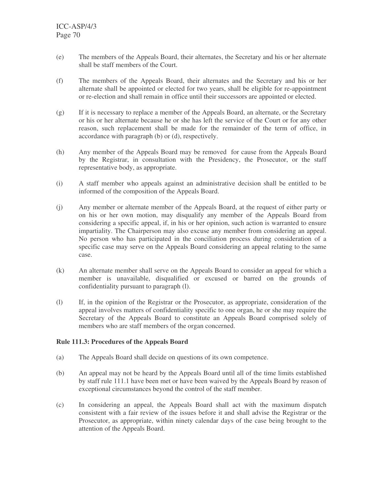- (e) The members of the Appeals Board, their alternates, the Secretary and his or her alternate shall be staff members of the Court.
- (f) The members of the Appeals Board, their alternates and the Secretary and his or her alternate shall be appointed or elected for two years, shall be eligible for re-appointment or re-election and shall remain in office until their successors are appointed or elected.
- (g) If it is necessary to replace a member of the Appeals Board, an alternate, or the Secretary or his or her alternate because he or she has left the service of the Court or for any other reason, such replacement shall be made for the remainder of the term of office, in accordance with paragraph (b) or (d), respectively.
- (h) Any member of the Appeals Board may be removed for cause from the Appeals Board by the Registrar, in consultation with the Presidency, the Prosecutor, or the staff representative body, as appropriate.
- (i) A staff member who appeals against an administrative decision shall be entitled to be informed of the composition of the Appeals Board.
- (j) Any member or alternate member of the Appeals Board, at the request of either party or on his or her own motion, may disqualify any member of the Appeals Board from considering a specific appeal, if, in his or her opinion, such action is warranted to ensure impartiality. The Chairperson may also excuse any member from considering an appeal. No person who has participated in the conciliation process during consideration of a specific case may serve on the Appeals Board considering an appeal relating to the same case.
- (k) An alternate member shall serve on the Appeals Board to consider an appeal for which a member is unavailable, disqualified or excused or barred on the grounds of confidentiality pursuant to paragraph (l).
- (l) If, in the opinion of the Registrar or the Prosecutor, as appropriate, consideration of the appeal involves matters of confidentiality specific to one organ, he or she may require the Secretary of the Appeals Board to constitute an Appeals Board comprised solely of members who are staff members of the organ concerned.

# **Rule 111.3: Procedures of the Appeals Board**

- (a) The Appeals Board shall decide on questions of its own competence.
- (b) An appeal may not be heard by the Appeals Board until all of the time limits established by staff rule 111.1 have been met or have been waived by the Appeals Board by reason of exceptional circumstances beyond the control of the staff member.
- (c) In considering an appeal, the Appeals Board shall act with the maximum dispatch consistent with a fair review of the issues before it and shall advise the Registrar or the Prosecutor, as appropriate, within ninety calendar days of the case being brought to the attention of the Appeals Board.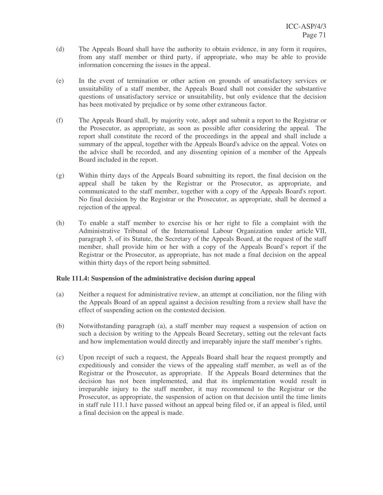- (d) The Appeals Board shall have the authority to obtain evidence, in any form it requires, from any staff member or third party, if appropriate, who may be able to provide information concerning the issues in the appeal.
- (e) In the event of termination or other action on grounds of unsatisfactory services or unsuitability of a staff member, the Appeals Board shall not consider the substantive questions of unsatisfactory service or unsuitability, but only evidence that the decision has been motivated by prejudice or by some other extraneous factor.
- (f) The Appeals Board shall, by majority vote, adopt and submit a report to the Registrar or the Prosecutor, as appropriate, as soon as possible after considering the appeal. The report shall constitute the record of the proceedings in the appeal and shall include a summary of the appeal, together with the Appeals Board's advice on the appeal. Votes on the advice shall be recorded, and any dissenting opinion of a member of the Appeals Board included in the report.
- (g) Within thirty days of the Appeals Board submitting its report, the final decision on the appeal shall be taken by the Registrar or the Prosecutor, as appropriate, and communicated to the staff member, together with a copy of the Appeals Board's report. No final decision by the Registrar or the Prosecutor, as appropriate, shall be deemed a rejection of the appeal.
- (h) To enable a staff member to exercise his or her right to file a complaint with the Administrative Tribunal of the International Labour Organization under article VII, paragraph 3, of its Statute, the Secretary of the Appeals Board, at the request of the staff member, shall provide him or her with a copy of the Appeals Board's report if the Registrar or the Prosecutor, as appropriate, has not made a final decision on the appeal within thirty days of the report being submitted.

# **Rule 111.4: Suspension of the administrative decision during appeal**

- (a) Neither a request for administrative review, an attempt at conciliation, nor the filing with the Appeals Board of an appeal against a decision resulting from a review shall have the effect of suspending action on the contested decision.
- (b) Notwithstanding paragraph (a), a staff member may request a suspension of action on such a decision by writing to the Appeals Board Secretary, setting out the relevant facts and how implementation would directly and irreparably injure the staff member's rights.
- (c) Upon receipt of such a request, the Appeals Board shall hear the request promptly and expeditiously and consider the views of the appealing staff member, as well as of the Registrar or the Prosecutor, as appropriate. If the Appeals Board determines that the decision has not been implemented, and that its implementation would result in irreparable injury to the staff member, it may recommend to the Registrar or the Prosecutor, as appropriate, the suspension of action on that decision until the time limits in staff rule 111.1 have passed without an appeal being filed or, if an appeal is filed, until a final decision on the appeal is made.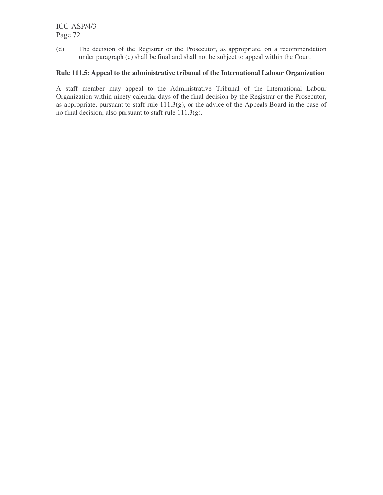(d) The decision of the Registrar or the Prosecutor, as appropriate, on a recommendation under paragraph (c) shall be final and shall not be subject to appeal within the Court.

# **Rule 111.5: Appeal to the administrative tribunal of the International Labour Organization**

A staff member may appeal to the Administrative Tribunal of the International Labour Organization within ninety calendar days of the final decision by the Registrar or the Prosecutor, as appropriate, pursuant to staff rule 111.3(g), or the advice of the Appeals Board in the case of no final decision, also pursuant to staff rule 111.3(g).